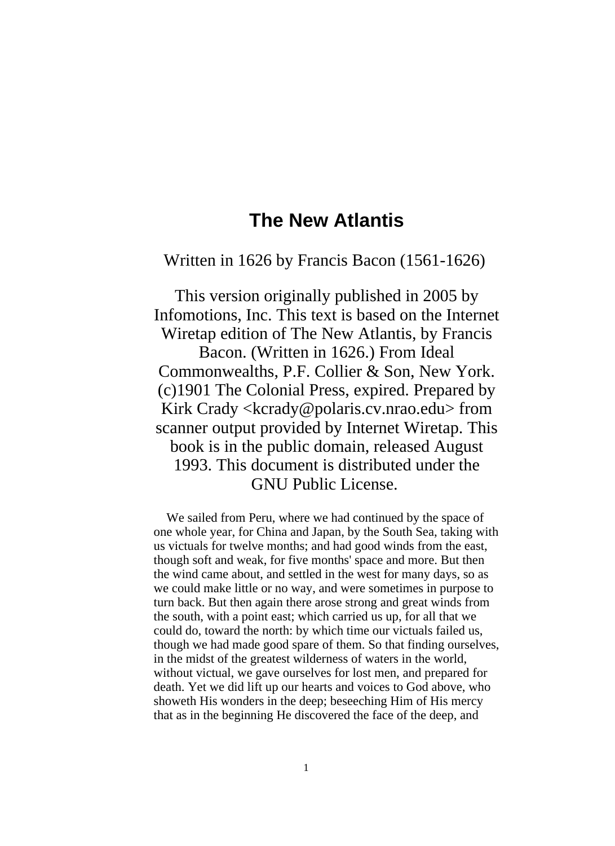## **The New Atlantis**

Written in 1626 by Francis Bacon (1561-1626)

This version originally published in 2005 by Infomotions, Inc. This text is based on the Internet Wiretap edition of The New Atlantis, by Francis Bacon. (Written in 1626.) From Ideal Commonwealths, P.F. Collier & Son, New York. (c)1901 The Colonial Press, expired. Prepared by Kirk Crady <kcrady@polaris.cv.nrao.edu> from scanner output provided by Internet Wiretap. This book is in the public domain, released August 1993. This document is distributed under the GNU Public License.

We sailed from Peru, where we had continued by the space of one whole year, for China and Japan, by the South Sea, taking with us victuals for twelve months; and had good winds from the east, though soft and weak, for five months' space and more. But then the wind came about, and settled in the west for many days, so as we could make little or no way, and were sometimes in purpose to turn back. But then again there arose strong and great winds from the south, with a point east; which carried us up, for all that we could do, toward the north: by which time our victuals failed us, though we had made good spare of them. So that finding ourselves, in the midst of the greatest wilderness of waters in the world, without victual, we gave ourselves for lost men, and prepared for death. Yet we did lift up our hearts and voices to God above, who showeth His wonders in the deep; beseeching Him of His mercy that as in the beginning He discovered the face of the deep, and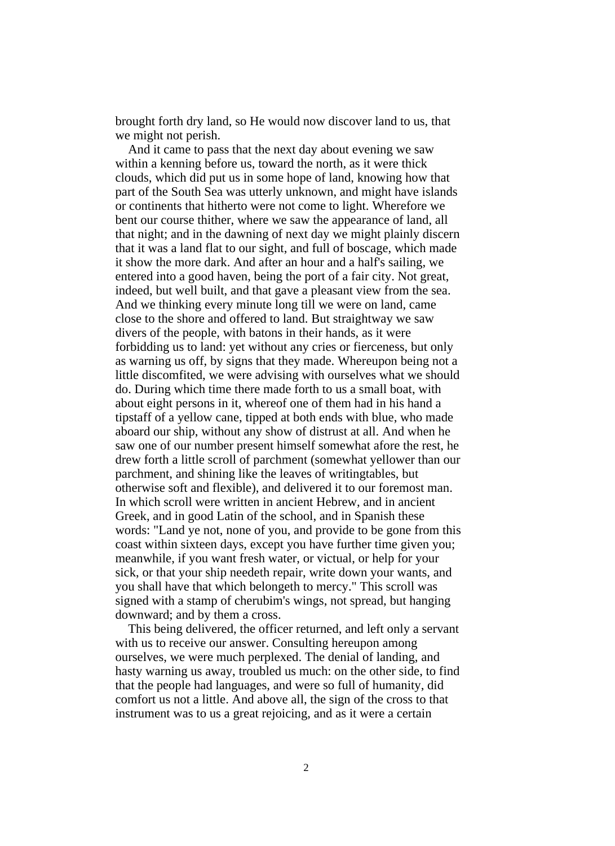brought forth dry land, so He would now discover land to us, that we might not perish.

And it came to pass that the next day about evening we saw within a kenning before us, toward the north, as it were thick clouds, which did put us in some hope of land, knowing how that part of the South Sea was utterly unknown, and might have islands or continents that hitherto were not come to light. Wherefore we bent our course thither, where we saw the appearance of land, all that night; and in the dawning of next day we might plainly discern that it was a land flat to our sight, and full of boscage, which made it show the more dark. And after an hour and a half's sailing, we entered into a good haven, being the port of a fair city. Not great, indeed, but well built, and that gave a pleasant view from the sea. And we thinking every minute long till we were on land, came close to the shore and offered to land. But straightway we saw divers of the people, with batons in their hands, as it were forbidding us to land: yet without any cries or fierceness, but only as warning us off, by signs that they made. Whereupon being not a little discomfited, we were advising with ourselves what we should do. During which time there made forth to us a small boat, with about eight persons in it, whereof one of them had in his hand a tipstaff of a yellow cane, tipped at both ends with blue, who made aboard our ship, without any show of distrust at all. And when he saw one of our number present himself somewhat afore the rest, he drew forth a little scroll of parchment (somewhat yellower than our parchment, and shining like the leaves of writingtables, but otherwise soft and flexible), and delivered it to our foremost man. In which scroll were written in ancient Hebrew, and in ancient Greek, and in good Latin of the school, and in Spanish these words: "Land ye not, none of you, and provide to be gone from this coast within sixteen days, except you have further time given you; meanwhile, if you want fresh water, or victual, or help for your sick, or that your ship needeth repair, write down your wants, and you shall have that which belongeth to mercy." This scroll was signed with a stamp of cherubim's wings, not spread, but hanging downward; and by them a cross.

This being delivered, the officer returned, and left only a servant with us to receive our answer. Consulting hereupon among ourselves, we were much perplexed. The denial of landing, and hasty warning us away, troubled us much: on the other side, to find that the people had languages, and were so full of humanity, did comfort us not a little. And above all, the sign of the cross to that instrument was to us a great rejoicing, and as it were a certain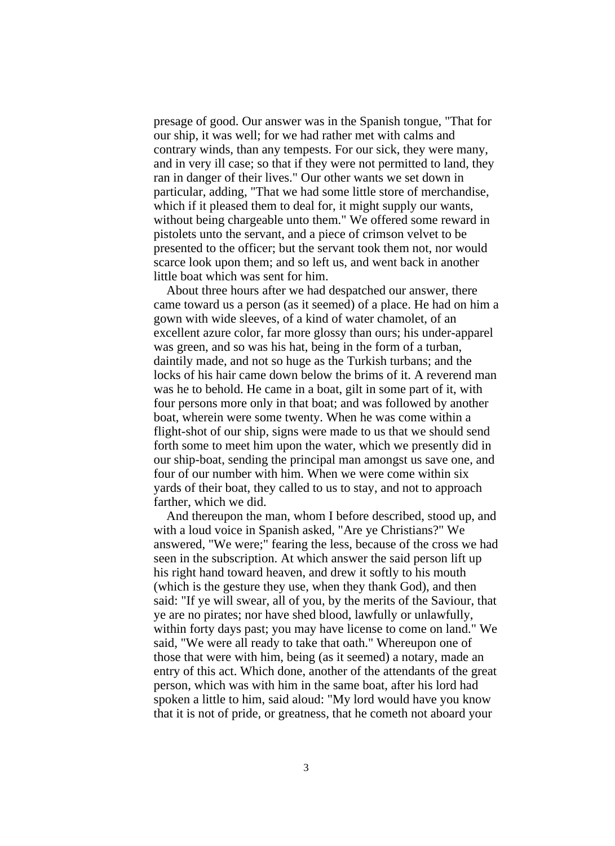presage of good. Our answer was in the Spanish tongue, "That for our ship, it was well; for we had rather met with calms and contrary winds, than any tempests. For our sick, they were many, and in very ill case; so that if they were not permitted to land, they ran in danger of their lives." Our other wants we set down in particular, adding, "That we had some little store of merchandise, which if it pleased them to deal for, it might supply our wants, without being chargeable unto them." We offered some reward in pistolets unto the servant, and a piece of crimson velvet to be presented to the officer; but the servant took them not, nor would scarce look upon them; and so left us, and went back in another little boat which was sent for him.

About three hours after we had despatched our answer, there came toward us a person (as it seemed) of a place. He had on him a gown with wide sleeves, of a kind of water chamolet, of an excellent azure color, far more glossy than ours; his under-apparel was green, and so was his hat, being in the form of a turban, daintily made, and not so huge as the Turkish turbans; and the locks of his hair came down below the brims of it. A reverend man was he to behold. He came in a boat, gilt in some part of it, with four persons more only in that boat; and was followed by another boat, wherein were some twenty. When he was come within a flight-shot of our ship, signs were made to us that we should send forth some to meet him upon the water, which we presently did in our ship-boat, sending the principal man amongst us save one, and four of our number with him. When we were come within six yards of their boat, they called to us to stay, and not to approach farther, which we did.

And thereupon the man, whom I before described, stood up, and with a loud voice in Spanish asked, "Are ye Christians?" We answered, "We were;" fearing the less, because of the cross we had seen in the subscription. At which answer the said person lift up his right hand toward heaven, and drew it softly to his mouth (which is the gesture they use, when they thank God), and then said: "If ye will swear, all of you, by the merits of the Saviour, that ye are no pirates; nor have shed blood, lawfully or unlawfully, within forty days past; you may have license to come on land." We said, "We were all ready to take that oath." Whereupon one of those that were with him, being (as it seemed) a notary, made an entry of this act. Which done, another of the attendants of the great person, which was with him in the same boat, after his lord had spoken a little to him, said aloud: "My lord would have you know that it is not of pride, or greatness, that he cometh not aboard your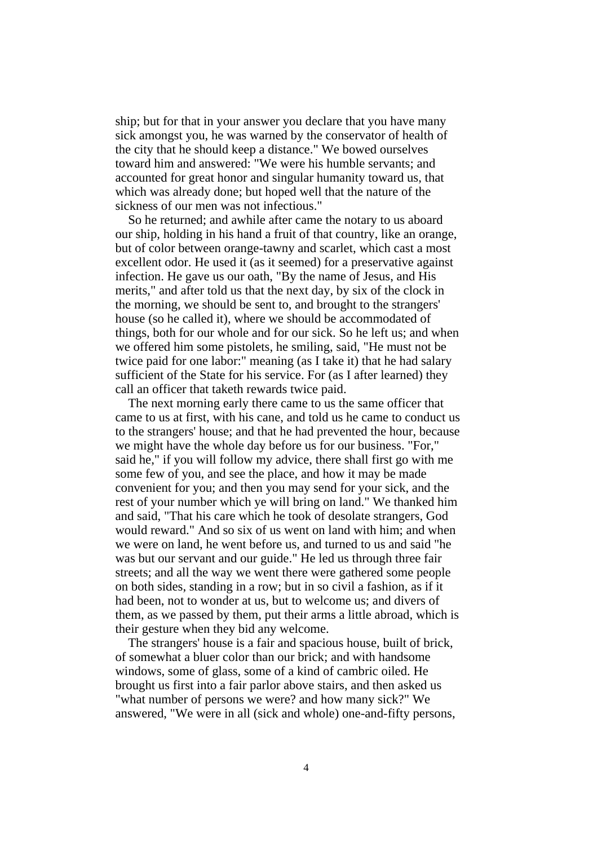ship; but for that in your answer you declare that you have many sick amongst you, he was warned by the conservator of health of the city that he should keep a distance." We bowed ourselves toward him and answered: "We were his humble servants; and accounted for great honor and singular humanity toward us, that which was already done; but hoped well that the nature of the sickness of our men was not infectious."

So he returned; and awhile after came the notary to us aboard our ship, holding in his hand a fruit of that country, like an orange, but of color between orange-tawny and scarlet, which cast a most excellent odor. He used it (as it seemed) for a preservative against infection. He gave us our oath, "By the name of Jesus, and His merits," and after told us that the next day, by six of the clock in the morning, we should be sent to, and brought to the strangers' house (so he called it), where we should be accommodated of things, both for our whole and for our sick. So he left us; and when we offered him some pistolets, he smiling, said, "He must not be twice paid for one labor:" meaning (as I take it) that he had salary sufficient of the State for his service. For (as I after learned) they call an officer that taketh rewards twice paid.

The next morning early there came to us the same officer that came to us at first, with his cane, and told us he came to conduct us to the strangers' house; and that he had prevented the hour, because we might have the whole day before us for our business. "For," said he," if you will follow my advice, there shall first go with me some few of you, and see the place, and how it may be made convenient for you; and then you may send for your sick, and the rest of your number which ye will bring on land." We thanked him and said, "That his care which he took of desolate strangers, God would reward." And so six of us went on land with him; and when we were on land, he went before us, and turned to us and said "he was but our servant and our guide." He led us through three fair streets; and all the way we went there were gathered some people on both sides, standing in a row; but in so civil a fashion, as if it had been, not to wonder at us, but to welcome us; and divers of them, as we passed by them, put their arms a little abroad, which is their gesture when they bid any welcome.

The strangers' house is a fair and spacious house, built of brick, of somewhat a bluer color than our brick; and with handsome windows, some of glass, some of a kind of cambric oiled. He brought us first into a fair parlor above stairs, and then asked us "what number of persons we were? and how many sick?" We answered, "We were in all (sick and whole) one-and-fifty persons,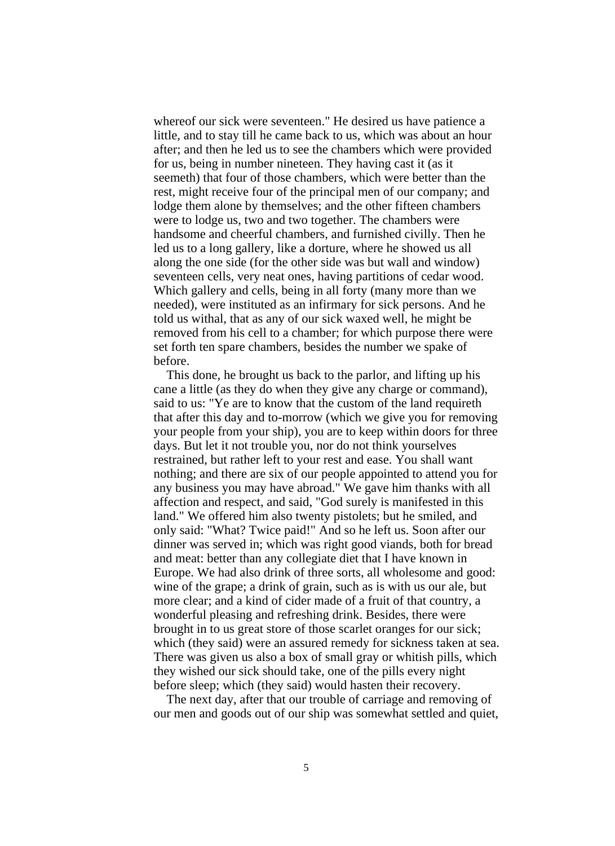whereof our sick were seventeen." He desired us have patience a little, and to stay till he came back to us, which was about an hour after; and then he led us to see the chambers which were provided for us, being in number nineteen. They having cast it (as it seemeth) that four of those chambers, which were better than the rest, might receive four of the principal men of our company; and lodge them alone by themselves; and the other fifteen chambers were to lodge us, two and two together. The chambers were handsome and cheerful chambers, and furnished civilly. Then he led us to a long gallery, like a dorture, where he showed us all along the one side (for the other side was but wall and window) seventeen cells, very neat ones, having partitions of cedar wood. Which gallery and cells, being in all forty (many more than we needed), were instituted as an infirmary for sick persons. And he told us withal, that as any of our sick waxed well, he might be removed from his cell to a chamber; for which purpose there were set forth ten spare chambers, besides the number we spake of before.

This done, he brought us back to the parlor, and lifting up his cane a little (as they do when they give any charge or command), said to us: "Ye are to know that the custom of the land requireth that after this day and to-morrow (which we give you for removing your people from your ship), you are to keep within doors for three days. But let it not trouble you, nor do not think yourselves restrained, but rather left to your rest and ease. You shall want nothing; and there are six of our people appointed to attend you for any business you may have abroad." We gave him thanks with all affection and respect, and said, "God surely is manifested in this land." We offered him also twenty pistolets; but he smiled, and only said: "What? Twice paid!" And so he left us. Soon after our dinner was served in; which was right good viands, both for bread and meat: better than any collegiate diet that I have known in Europe. We had also drink of three sorts, all wholesome and good: wine of the grape; a drink of grain, such as is with us our ale, but more clear; and a kind of cider made of a fruit of that country, a wonderful pleasing and refreshing drink. Besides, there were brought in to us great store of those scarlet oranges for our sick; which (they said) were an assured remedy for sickness taken at sea. There was given us also a box of small gray or whitish pills, which they wished our sick should take, one of the pills every night before sleep; which (they said) would hasten their recovery.

The next day, after that our trouble of carriage and removing of our men and goods out of our ship was somewhat settled and quiet,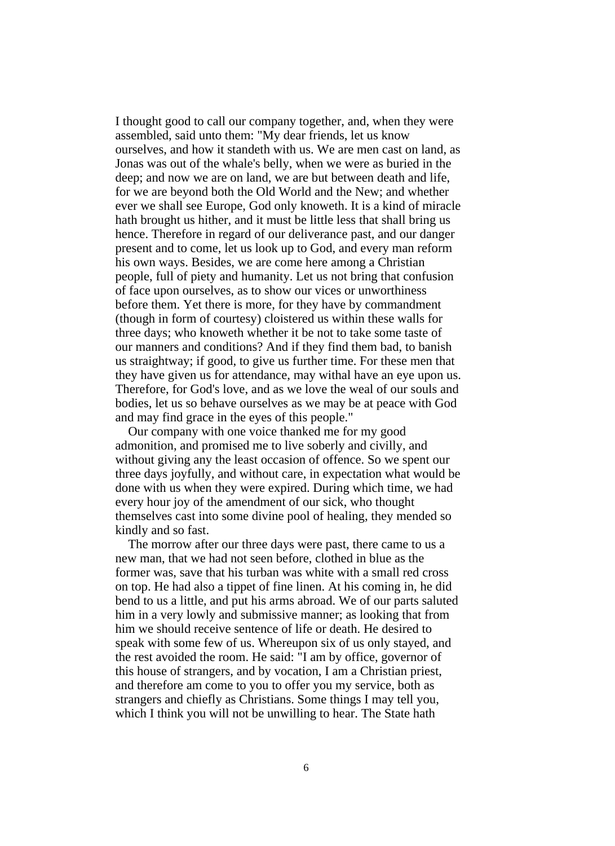I thought good to call our company together, and, when they were assembled, said unto them: "My dear friends, let us know ourselves, and how it standeth with us. We are men cast on land, as Jonas was out of the whale's belly, when we were as buried in the deep; and now we are on land, we are but between death and life, for we are beyond both the Old World and the New; and whether ever we shall see Europe, God only knoweth. It is a kind of miracle hath brought us hither, and it must be little less that shall bring us hence. Therefore in regard of our deliverance past, and our danger present and to come, let us look up to God, and every man reform his own ways. Besides, we are come here among a Christian people, full of piety and humanity. Let us not bring that confusion of face upon ourselves, as to show our vices or unworthiness before them. Yet there is more, for they have by commandment (though in form of courtesy) cloistered us within these walls for three days; who knoweth whether it be not to take some taste of our manners and conditions? And if they find them bad, to banish us straightway; if good, to give us further time. For these men that they have given us for attendance, may withal have an eye upon us. Therefore, for God's love, and as we love the weal of our souls and bodies, let us so behave ourselves as we may be at peace with God and may find grace in the eyes of this people."

Our company with one voice thanked me for my good admonition, and promised me to live soberly and civilly, and without giving any the least occasion of offence. So we spent our three days joyfully, and without care, in expectation what would be done with us when they were expired. During which time, we had every hour joy of the amendment of our sick, who thought themselves cast into some divine pool of healing, they mended so kindly and so fast.

The morrow after our three days were past, there came to us a new man, that we had not seen before, clothed in blue as the former was, save that his turban was white with a small red cross on top. He had also a tippet of fine linen. At his coming in, he did bend to us a little, and put his arms abroad. We of our parts saluted him in a very lowly and submissive manner; as looking that from him we should receive sentence of life or death. He desired to speak with some few of us. Whereupon six of us only stayed, and the rest avoided the room. He said: "I am by office, governor of this house of strangers, and by vocation, I am a Christian priest, and therefore am come to you to offer you my service, both as strangers and chiefly as Christians. Some things I may tell you, which I think you will not be unwilling to hear. The State hath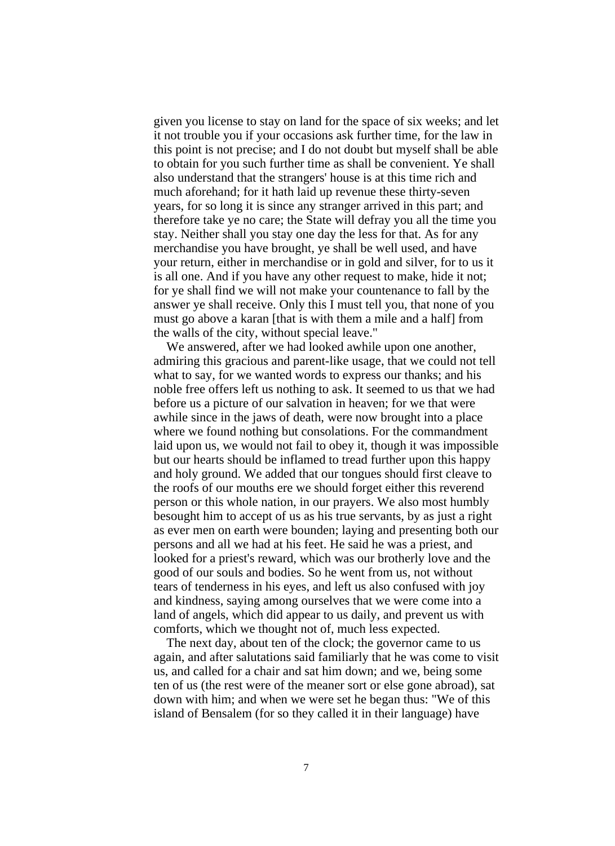given you license to stay on land for the space of six weeks; and let it not trouble you if your occasions ask further time, for the law in this point is not precise; and I do not doubt but myself shall be able to obtain for you such further time as shall be convenient. Ye shall also understand that the strangers' house is at this time rich and much aforehand; for it hath laid up revenue these thirty-seven years, for so long it is since any stranger arrived in this part; and therefore take ye no care; the State will defray you all the time you stay. Neither shall you stay one day the less for that. As for any merchandise you have brought, ye shall be well used, and have your return, either in merchandise or in gold and silver, for to us it is all one. And if you have any other request to make, hide it not; for ye shall find we will not make your countenance to fall by the answer ye shall receive. Only this I must tell you, that none of you must go above a karan [that is with them a mile and a half] from the walls of the city, without special leave."

We answered, after we had looked awhile upon one another, admiring this gracious and parent-like usage, that we could not tell what to say, for we wanted words to express our thanks; and his noble free offers left us nothing to ask. It seemed to us that we had before us a picture of our salvation in heaven; for we that were awhile since in the jaws of death, were now brought into a place where we found nothing but consolations. For the commandment laid upon us, we would not fail to obey it, though it was impossible but our hearts should be inflamed to tread further upon this happy and holy ground. We added that our tongues should first cleave to the roofs of our mouths ere we should forget either this reverend person or this whole nation, in our prayers. We also most humbly besought him to accept of us as his true servants, by as just a right as ever men on earth were bounden; laying and presenting both our persons and all we had at his feet. He said he was a priest, and looked for a priest's reward, which was our brotherly love and the good of our souls and bodies. So he went from us, not without tears of tenderness in his eyes, and left us also confused with joy and kindness, saying among ourselves that we were come into a land of angels, which did appear to us daily, and prevent us with comforts, which we thought not of, much less expected.

The next day, about ten of the clock; the governor came to us again, and after salutations said familiarly that he was come to visit us, and called for a chair and sat him down; and we, being some ten of us (the rest were of the meaner sort or else gone abroad), sat down with him; and when we were set he began thus: "We of this island of Bensalem (for so they called it in their language) have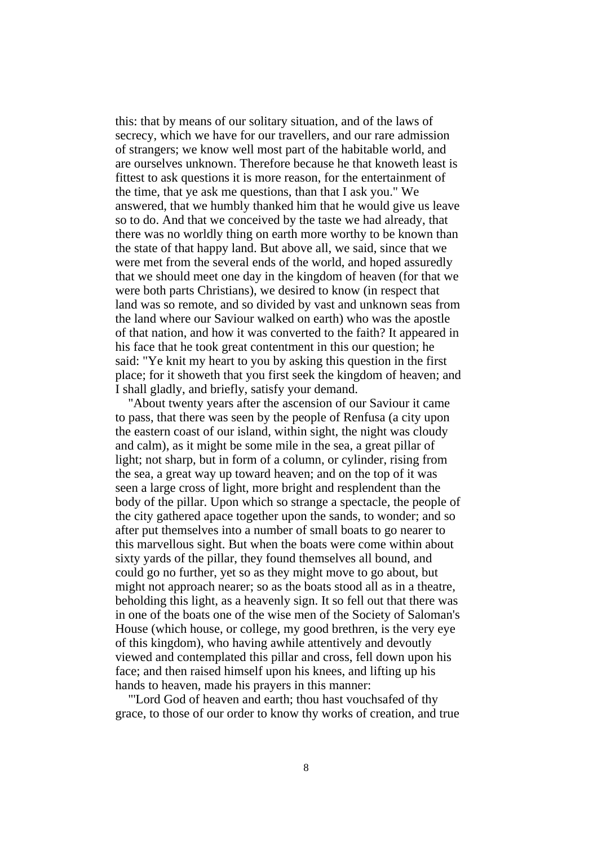this: that by means of our solitary situation, and of the laws of secrecy, which we have for our travellers, and our rare admission of strangers; we know well most part of the habitable world, and are ourselves unknown. Therefore because he that knoweth least is fittest to ask questions it is more reason, for the entertainment of the time, that ye ask me questions, than that I ask you." We answered, that we humbly thanked him that he would give us leave so to do. And that we conceived by the taste we had already, that there was no worldly thing on earth more worthy to be known than the state of that happy land. But above all, we said, since that we were met from the several ends of the world, and hoped assuredly that we should meet one day in the kingdom of heaven (for that we were both parts Christians), we desired to know (in respect that land was so remote, and so divided by vast and unknown seas from the land where our Saviour walked on earth) who was the apostle of that nation, and how it was converted to the faith? It appeared in his face that he took great contentment in this our question; he said: "Ye knit my heart to you by asking this question in the first place; for it showeth that you first seek the kingdom of heaven; and I shall gladly, and briefly, satisfy your demand.

"About twenty years after the ascension of our Saviour it came to pass, that there was seen by the people of Renfusa (a city upon the eastern coast of our island, within sight, the night was cloudy and calm), as it might be some mile in the sea, a great pillar of light; not sharp, but in form of a column, or cylinder, rising from the sea, a great way up toward heaven; and on the top of it was seen a large cross of light, more bright and resplendent than the body of the pillar. Upon which so strange a spectacle, the people of the city gathered apace together upon the sands, to wonder; and so after put themselves into a number of small boats to go nearer to this marvellous sight. But when the boats were come within about sixty yards of the pillar, they found themselves all bound, and could go no further, yet so as they might move to go about, but might not approach nearer; so as the boats stood all as in a theatre, beholding this light, as a heavenly sign. It so fell out that there was in one of the boats one of the wise men of the Society of Saloman's House (which house, or college, my good brethren, is the very eye of this kingdom), who having awhile attentively and devoutly viewed and contemplated this pillar and cross, fell down upon his face; and then raised himself upon his knees, and lifting up his hands to heaven, made his prayers in this manner:

"'Lord God of heaven and earth; thou hast vouchsafed of thy grace, to those of our order to know thy works of creation, and true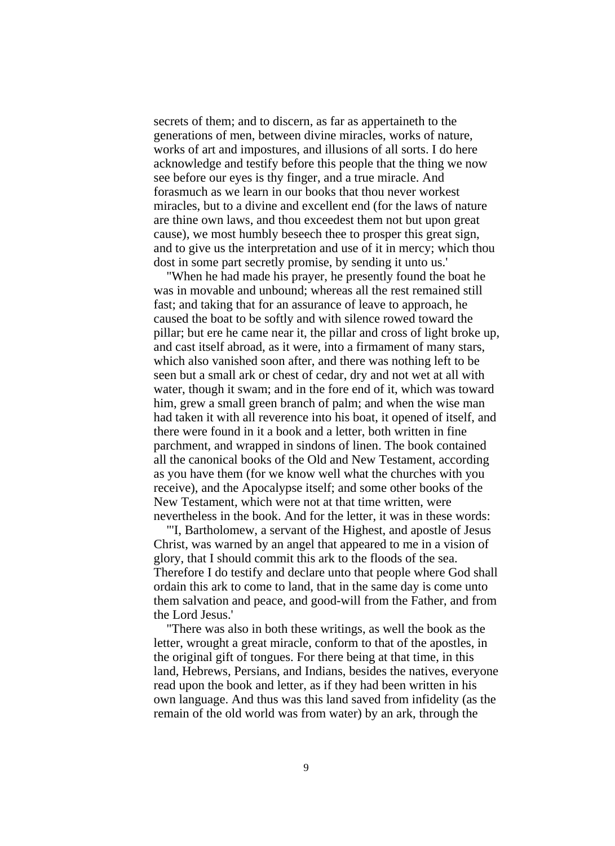secrets of them; and to discern, as far as appertaineth to the generations of men, between divine miracles, works of nature, works of art and impostures, and illusions of all sorts. I do here acknowledge and testify before this people that the thing we now see before our eyes is thy finger, and a true miracle. And forasmuch as we learn in our books that thou never workest miracles, but to a divine and excellent end (for the laws of nature are thine own laws, and thou exceedest them not but upon great cause), we most humbly beseech thee to prosper this great sign, and to give us the interpretation and use of it in mercy; which thou dost in some part secretly promise, by sending it unto us.'

"When he had made his prayer, he presently found the boat he was in movable and unbound; whereas all the rest remained still fast; and taking that for an assurance of leave to approach, he caused the boat to be softly and with silence rowed toward the pillar; but ere he came near it, the pillar and cross of light broke up, and cast itself abroad, as it were, into a firmament of many stars, which also vanished soon after, and there was nothing left to be seen but a small ark or chest of cedar, dry and not wet at all with water, though it swam; and in the fore end of it, which was toward him, grew a small green branch of palm; and when the wise man had taken it with all reverence into his boat, it opened of itself, and there were found in it a book and a letter, both written in fine parchment, and wrapped in sindons of linen. The book contained all the canonical books of the Old and New Testament, according as you have them (for we know well what the churches with you receive), and the Apocalypse itself; and some other books of the New Testament, which were not at that time written, were nevertheless in the book. And for the letter, it was in these words:

"'I, Bartholomew, a servant of the Highest, and apostle of Jesus Christ, was warned by an angel that appeared to me in a vision of glory, that I should commit this ark to the floods of the sea. Therefore I do testify and declare unto that people where God shall ordain this ark to come to land, that in the same day is come unto them salvation and peace, and good-will from the Father, and from the Lord Jesus.'

"There was also in both these writings, as well the book as the letter, wrought a great miracle, conform to that of the apostles, in the original gift of tongues. For there being at that time, in this land, Hebrews, Persians, and Indians, besides the natives, everyone read upon the book and letter, as if they had been written in his own language. And thus was this land saved from infidelity (as the remain of the old world was from water) by an ark, through the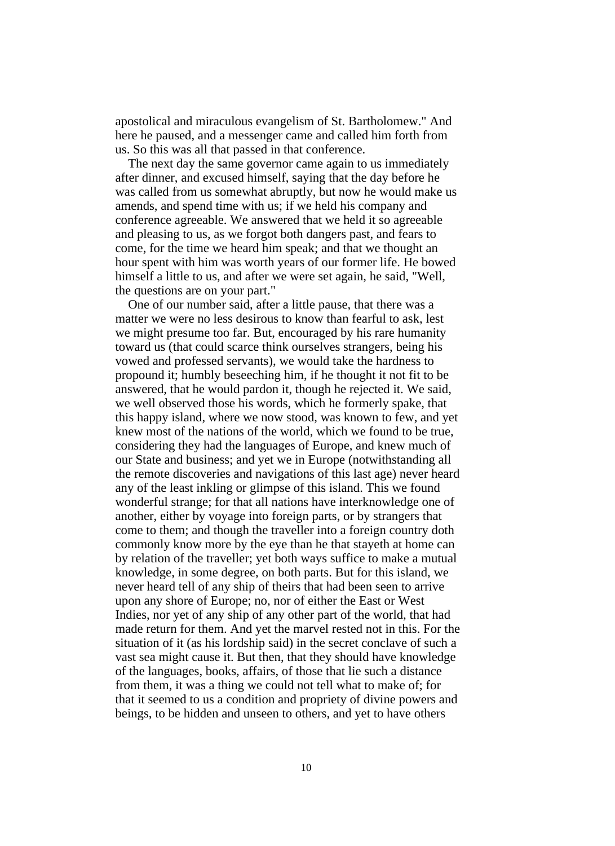apostolical and miraculous evangelism of St. Bartholomew." And here he paused, and a messenger came and called him forth from us. So this was all that passed in that conference.

The next day the same governor came again to us immediately after dinner, and excused himself, saying that the day before he was called from us somewhat abruptly, but now he would make us amends, and spend time with us; if we held his company and conference agreeable. We answered that we held it so agreeable and pleasing to us, as we forgot both dangers past, and fears to come, for the time we heard him speak; and that we thought an hour spent with him was worth years of our former life. He bowed himself a little to us, and after we were set again, he said, "Well, the questions are on your part."

One of our number said, after a little pause, that there was a matter we were no less desirous to know than fearful to ask, lest we might presume too far. But, encouraged by his rare humanity toward us (that could scarce think ourselves strangers, being his vowed and professed servants), we would take the hardness to propound it; humbly beseeching him, if he thought it not fit to be answered, that he would pardon it, though he rejected it. We said, we well observed those his words, which he formerly spake, that this happy island, where we now stood, was known to few, and yet knew most of the nations of the world, which we found to be true, considering they had the languages of Europe, and knew much of our State and business; and yet we in Europe (notwithstanding all the remote discoveries and navigations of this last age) never heard any of the least inkling or glimpse of this island. This we found wonderful strange; for that all nations have interknowledge one of another, either by voyage into foreign parts, or by strangers that come to them; and though the traveller into a foreign country doth commonly know more by the eye than he that stayeth at home can by relation of the traveller; yet both ways suffice to make a mutual knowledge, in some degree, on both parts. But for this island, we never heard tell of any ship of theirs that had been seen to arrive upon any shore of Europe; no, nor of either the East or West Indies, nor yet of any ship of any other part of the world, that had made return for them. And yet the marvel rested not in this. For the situation of it (as his lordship said) in the secret conclave of such a vast sea might cause it. But then, that they should have knowledge of the languages, books, affairs, of those that lie such a distance from them, it was a thing we could not tell what to make of; for that it seemed to us a condition and propriety of divine powers and beings, to be hidden and unseen to others, and yet to have others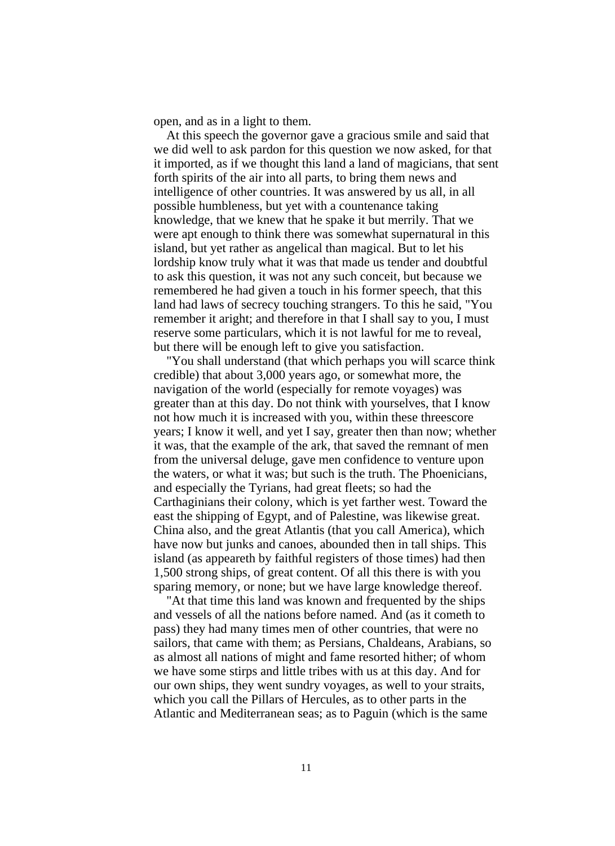open, and as in a light to them.

At this speech the governor gave a gracious smile and said that we did well to ask pardon for this question we now asked, for that it imported, as if we thought this land a land of magicians, that sent forth spirits of the air into all parts, to bring them news and intelligence of other countries. It was answered by us all, in all possible humbleness, but yet with a countenance taking knowledge, that we knew that he spake it but merrily. That we were apt enough to think there was somewhat supernatural in this island, but yet rather as angelical than magical. But to let his lordship know truly what it was that made us tender and doubtful to ask this question, it was not any such conceit, but because we remembered he had given a touch in his former speech, that this land had laws of secrecy touching strangers. To this he said, "You remember it aright; and therefore in that I shall say to you, I must reserve some particulars, which it is not lawful for me to reveal, but there will be enough left to give you satisfaction.

"You shall understand (that which perhaps you will scarce think credible) that about 3,000 years ago, or somewhat more, the navigation of the world (especially for remote voyages) was greater than at this day. Do not think with yourselves, that I know not how much it is increased with you, within these threescore years; I know it well, and yet I say, greater then than now; whether it was, that the example of the ark, that saved the remnant of men from the universal deluge, gave men confidence to venture upon the waters, or what it was; but such is the truth. The Phoenicians, and especially the Tyrians, had great fleets; so had the Carthaginians their colony, which is yet farther west. Toward the east the shipping of Egypt, and of Palestine, was likewise great. China also, and the great Atlantis (that you call America), which have now but junks and canoes, abounded then in tall ships. This island (as appeareth by faithful registers of those times) had then 1,500 strong ships, of great content. Of all this there is with you sparing memory, or none; but we have large knowledge thereof.

"At that time this land was known and frequented by the ships and vessels of all the nations before named. And (as it cometh to pass) they had many times men of other countries, that were no sailors, that came with them; as Persians, Chaldeans, Arabians, so as almost all nations of might and fame resorted hither; of whom we have some stirps and little tribes with us at this day. And for our own ships, they went sundry voyages, as well to your straits, which you call the Pillars of Hercules, as to other parts in the Atlantic and Mediterranean seas; as to Paguin (which is the same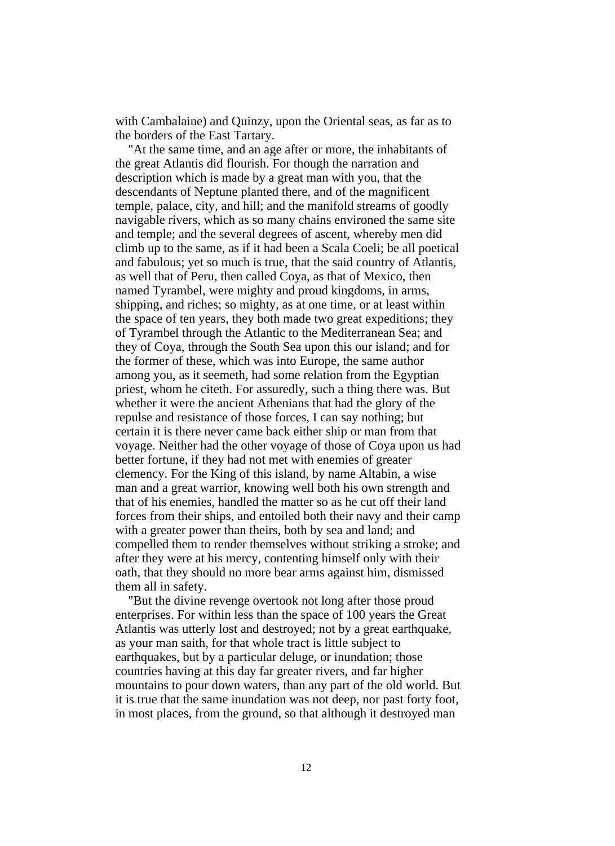with Cambalaine) and Quinzy, upon the Oriental seas, as far as to the borders of the East Tartary.

"At the same time, and an age after or more, the inhabitants of the great Atlantis did flourish. For though the narration and description which is made by a great man with you, that the descendants of Neptune planted there, and of the magnificent temple, palace, city, and hill; and the manifold streams of goodly navigable rivers, which as so many chains environed the same site and temple; and the several degrees of ascent, whereby men did climb up to the same, as if it had been a Scala Coeli; be all poetical and fabulous; yet so much is true, that the said country of Atlantis, as well that of Peru, then called Coya, as that of Mexico, then named Tyrambel, were mighty and proud kingdoms, in arms, shipping, and riches; so mighty, as at one time, or at least within the space of ten years, they both made two great expeditions; they of Tyrambel through the Atlantic to the Mediterranean Sea; and they of Coya, through the South Sea upon this our island; and for the former of these, which was into Europe, the same author among you, as it seemeth, had some relation from the Egyptian priest, whom he citeth. For assuredly, such a thing there was. But whether it were the ancient Athenians that had the glory of the repulse and resistance of those forces, I can say nothing; but certain it is there never came back either ship or man from that voyage. Neither had the other voyage of those of Coya upon us had better fortune, if they had not met with enemies of greater clemency. For the King of this island, by name Altabin, a wise man and a great warrior, knowing well both his own strength and that of his enemies, handled the matter so as he cut off their land forces from their ships, and entoiled both their navy and their camp with a greater power than theirs, both by sea and land; and compelled them to render themselves without striking a stroke; and after they were at his mercy, contenting himself only with their oath, that they should no more bear arms against him, dismissed them all in safety.

"But the divine revenge overtook not long after those proud enterprises. For within less than the space of 100 years the Great Atlantis was utterly lost and destroyed; not by a great earthquake, as your man saith, for that whole tract is little subject to earthquakes, but by a particular deluge, or inundation; those countries having at this day far greater rivers, and far higher mountains to pour down waters, than any part of the old world. But it is true that the same inundation was not deep, nor past forty foot, in most places, from the ground, so that although it destroyed man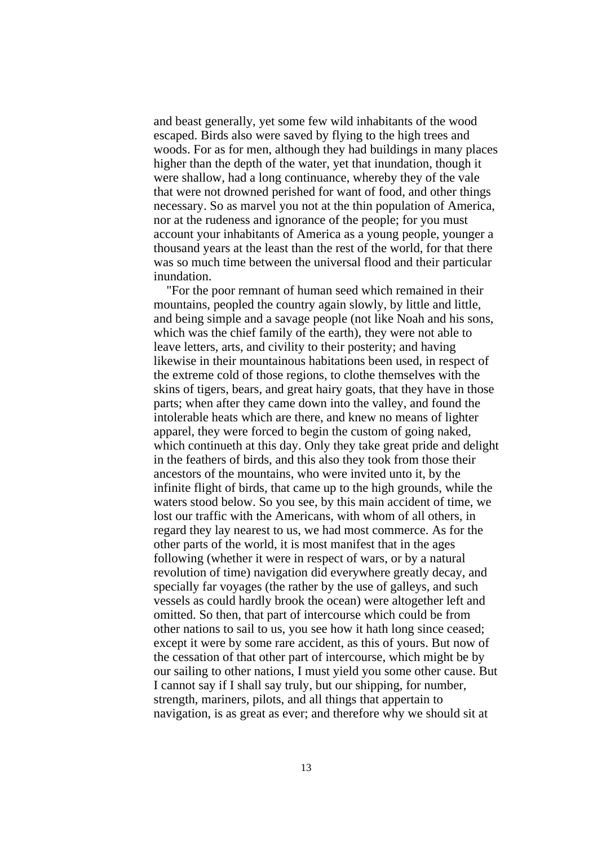and beast generally, yet some few wild inhabitants of the wood escaped. Birds also were saved by flying to the high trees and woods. For as for men, although they had buildings in many places higher than the depth of the water, yet that inundation, though it were shallow, had a long continuance, whereby they of the vale that were not drowned perished for want of food, and other things necessary. So as marvel you not at the thin population of America, nor at the rudeness and ignorance of the people; for you must account your inhabitants of America as a young people, younger a thousand years at the least than the rest of the world, for that there was so much time between the universal flood and their particular inundation.

"For the poor remnant of human seed which remained in their mountains, peopled the country again slowly, by little and little, and being simple and a savage people (not like Noah and his sons, which was the chief family of the earth), they were not able to leave letters, arts, and civility to their posterity; and having likewise in their mountainous habitations been used, in respect of the extreme cold of those regions, to clothe themselves with the skins of tigers, bears, and great hairy goats, that they have in those parts; when after they came down into the valley, and found the intolerable heats which are there, and knew no means of lighter apparel, they were forced to begin the custom of going naked, which continueth at this day. Only they take great pride and delight in the feathers of birds, and this also they took from those their ancestors of the mountains, who were invited unto it, by the infinite flight of birds, that came up to the high grounds, while the waters stood below. So you see, by this main accident of time, we lost our traffic with the Americans, with whom of all others, in regard they lay nearest to us, we had most commerce. As for the other parts of the world, it is most manifest that in the ages following (whether it were in respect of wars, or by a natural revolution of time) navigation did everywhere greatly decay, and specially far voyages (the rather by the use of galleys, and such vessels as could hardly brook the ocean) were altogether left and omitted. So then, that part of intercourse which could be from other nations to sail to us, you see how it hath long since ceased; except it were by some rare accident, as this of yours. But now of the cessation of that other part of intercourse, which might be by our sailing to other nations, I must yield you some other cause. But I cannot say if I shall say truly, but our shipping, for number, strength, mariners, pilots, and all things that appertain to navigation, is as great as ever; and therefore why we should sit at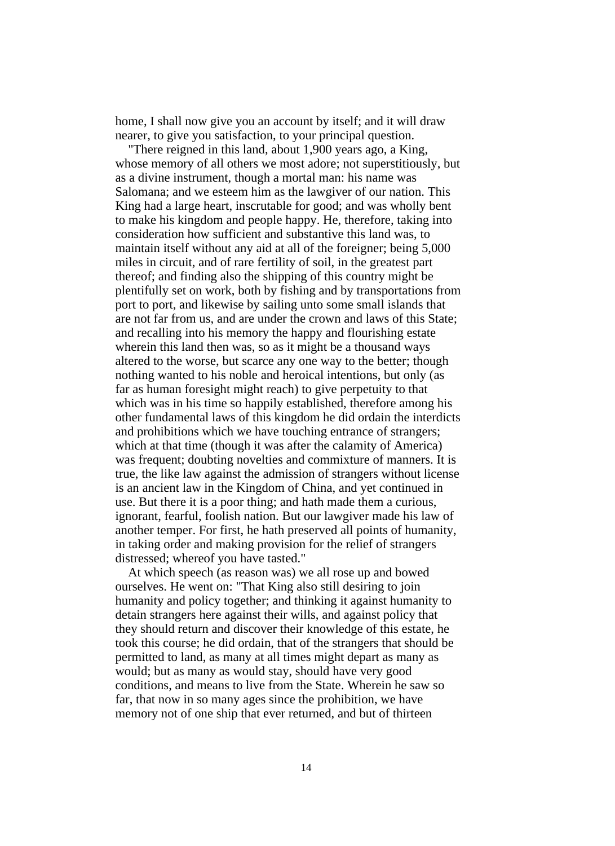home, I shall now give you an account by itself; and it will draw nearer, to give you satisfaction, to your principal question.

"There reigned in this land, about 1,900 years ago, a King, whose memory of all others we most adore; not superstitiously, but as a divine instrument, though a mortal man: his name was Salomana; and we esteem him as the lawgiver of our nation. This King had a large heart, inscrutable for good; and was wholly bent to make his kingdom and people happy. He, therefore, taking into consideration how sufficient and substantive this land was, to maintain itself without any aid at all of the foreigner; being 5,000 miles in circuit, and of rare fertility of soil, in the greatest part thereof; and finding also the shipping of this country might be plentifully set on work, both by fishing and by transportations from port to port, and likewise by sailing unto some small islands that are not far from us, and are under the crown and laws of this State; and recalling into his memory the happy and flourishing estate wherein this land then was, so as it might be a thousand ways altered to the worse, but scarce any one way to the better; though nothing wanted to his noble and heroical intentions, but only (as far as human foresight might reach) to give perpetuity to that which was in his time so happily established, therefore among his other fundamental laws of this kingdom he did ordain the interdicts and prohibitions which we have touching entrance of strangers; which at that time (though it was after the calamity of America) was frequent; doubting novelties and commixture of manners. It is true, the like law against the admission of strangers without license is an ancient law in the Kingdom of China, and yet continued in use. But there it is a poor thing; and hath made them a curious, ignorant, fearful, foolish nation. But our lawgiver made his law of another temper. For first, he hath preserved all points of humanity, in taking order and making provision for the relief of strangers distressed; whereof you have tasted."

At which speech (as reason was) we all rose up and bowed ourselves. He went on: "That King also still desiring to join humanity and policy together; and thinking it against humanity to detain strangers here against their wills, and against policy that they should return and discover their knowledge of this estate, he took this course; he did ordain, that of the strangers that should be permitted to land, as many at all times might depart as many as would; but as many as would stay, should have very good conditions, and means to live from the State. Wherein he saw so far, that now in so many ages since the prohibition, we have memory not of one ship that ever returned, and but of thirteen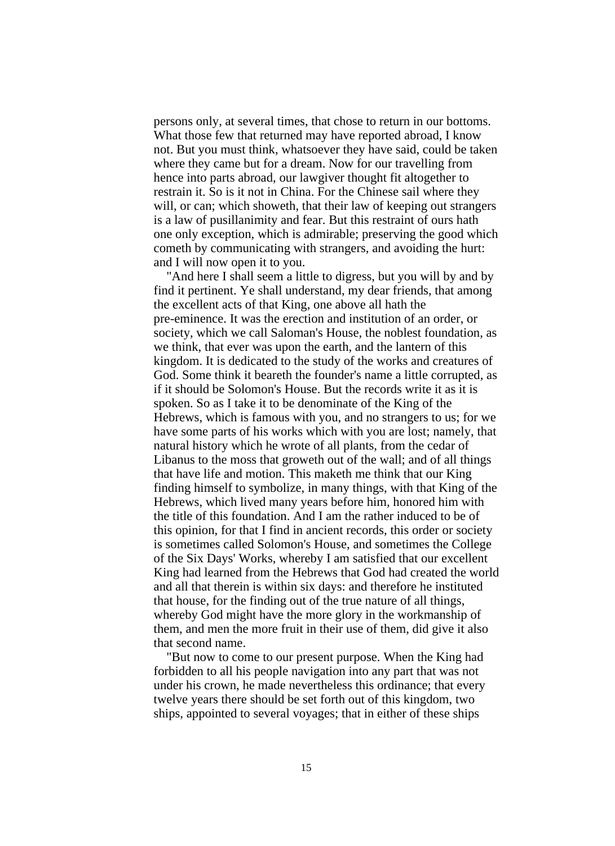persons only, at several times, that chose to return in our bottoms. What those few that returned may have reported abroad, I know not. But you must think, whatsoever they have said, could be taken where they came but for a dream. Now for our travelling from hence into parts abroad, our lawgiver thought fit altogether to restrain it. So is it not in China. For the Chinese sail where they will, or can; which showeth, that their law of keeping out strangers is a law of pusillanimity and fear. But this restraint of ours hath one only exception, which is admirable; preserving the good which cometh by communicating with strangers, and avoiding the hurt: and I will now open it to you.

"And here I shall seem a little to digress, but you will by and by find it pertinent. Ye shall understand, my dear friends, that among the excellent acts of that King, one above all hath the pre-eminence. It was the erection and institution of an order, or society, which we call Saloman's House, the noblest foundation, as we think, that ever was upon the earth, and the lantern of this kingdom. It is dedicated to the study of the works and creatures of God. Some think it beareth the founder's name a little corrupted, as if it should be Solomon's House. But the records write it as it is spoken. So as I take it to be denominate of the King of the Hebrews, which is famous with you, and no strangers to us; for we have some parts of his works which with you are lost; namely, that natural history which he wrote of all plants, from the cedar of Libanus to the moss that groweth out of the wall; and of all things that have life and motion. This maketh me think that our King finding himself to symbolize, in many things, with that King of the Hebrews, which lived many years before him, honored him with the title of this foundation. And I am the rather induced to be of this opinion, for that I find in ancient records, this order or society is sometimes called Solomon's House, and sometimes the College of the Six Days' Works, whereby I am satisfied that our excellent King had learned from the Hebrews that God had created the world and all that therein is within six days: and therefore he instituted that house, for the finding out of the true nature of all things, whereby God might have the more glory in the workmanship of them, and men the more fruit in their use of them, did give it also that second name.

"But now to come to our present purpose. When the King had forbidden to all his people navigation into any part that was not under his crown, he made nevertheless this ordinance; that every twelve years there should be set forth out of this kingdom, two ships, appointed to several voyages; that in either of these ships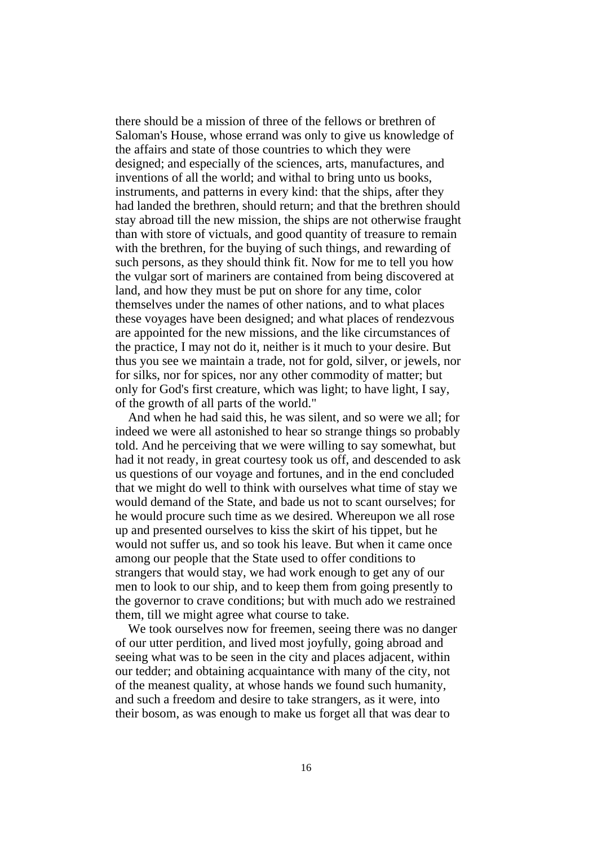there should be a mission of three of the fellows or brethren of Saloman's House, whose errand was only to give us knowledge of the affairs and state of those countries to which they were designed; and especially of the sciences, arts, manufactures, and inventions of all the world; and withal to bring unto us books, instruments, and patterns in every kind: that the ships, after they had landed the brethren, should return; and that the brethren should stay abroad till the new mission, the ships are not otherwise fraught than with store of victuals, and good quantity of treasure to remain with the brethren, for the buying of such things, and rewarding of such persons, as they should think fit. Now for me to tell you how the vulgar sort of mariners are contained from being discovered at land, and how they must be put on shore for any time, color themselves under the names of other nations, and to what places these voyages have been designed; and what places of rendezvous are appointed for the new missions, and the like circumstances of the practice, I may not do it, neither is it much to your desire. But thus you see we maintain a trade, not for gold, silver, or jewels, nor for silks, nor for spices, nor any other commodity of matter; but only for God's first creature, which was light; to have light, I say, of the growth of all parts of the world."

And when he had said this, he was silent, and so were we all; for indeed we were all astonished to hear so strange things so probably told. And he perceiving that we were willing to say somewhat, but had it not ready, in great courtesy took us off, and descended to ask us questions of our voyage and fortunes, and in the end concluded that we might do well to think with ourselves what time of stay we would demand of the State, and bade us not to scant ourselves; for he would procure such time as we desired. Whereupon we all rose up and presented ourselves to kiss the skirt of his tippet, but he would not suffer us, and so took his leave. But when it came once among our people that the State used to offer conditions to strangers that would stay, we had work enough to get any of our men to look to our ship, and to keep them from going presently to the governor to crave conditions; but with much ado we restrained them, till we might agree what course to take.

We took ourselves now for freemen, seeing there was no danger of our utter perdition, and lived most joyfully, going abroad and seeing what was to be seen in the city and places adjacent, within our tedder; and obtaining acquaintance with many of the city, not of the meanest quality, at whose hands we found such humanity, and such a freedom and desire to take strangers, as it were, into their bosom, as was enough to make us forget all that was dear to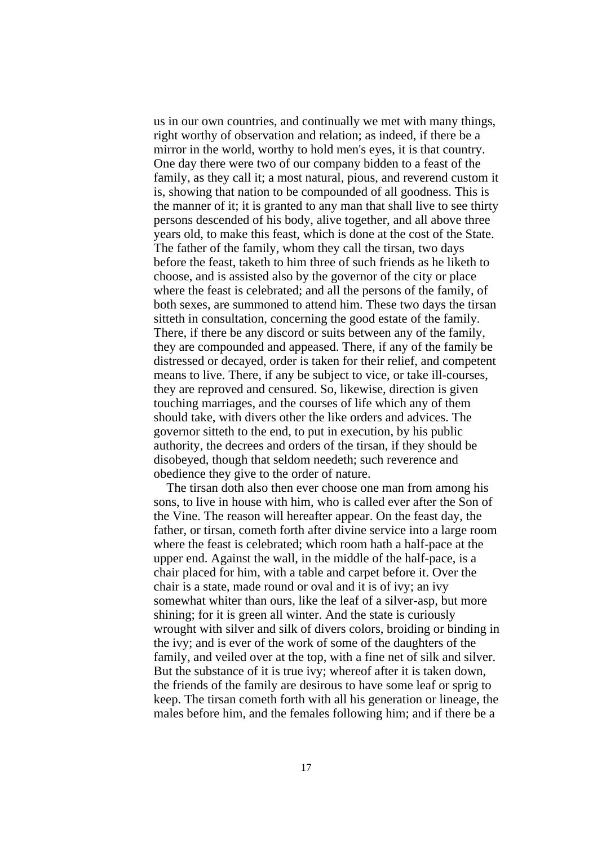us in our own countries, and continually we met with many things, right worthy of observation and relation; as indeed, if there be a mirror in the world, worthy to hold men's eyes, it is that country. One day there were two of our company bidden to a feast of the family, as they call it; a most natural, pious, and reverend custom it is, showing that nation to be compounded of all goodness. This is the manner of it; it is granted to any man that shall live to see thirty persons descended of his body, alive together, and all above three years old, to make this feast, which is done at the cost of the State. The father of the family, whom they call the tirsan, two days before the feast, taketh to him three of such friends as he liketh to choose, and is assisted also by the governor of the city or place where the feast is celebrated; and all the persons of the family, of both sexes, are summoned to attend him. These two days the tirsan sitteth in consultation, concerning the good estate of the family. There, if there be any discord or suits between any of the family, they are compounded and appeased. There, if any of the family be distressed or decayed, order is taken for their relief, and competent means to live. There, if any be subject to vice, or take ill-courses, they are reproved and censured. So, likewise, direction is given touching marriages, and the courses of life which any of them should take, with divers other the like orders and advices. The governor sitteth to the end, to put in execution, by his public authority, the decrees and orders of the tirsan, if they should be disobeyed, though that seldom needeth; such reverence and obedience they give to the order of nature.

The tirsan doth also then ever choose one man from among his sons, to live in house with him, who is called ever after the Son of the Vine. The reason will hereafter appear. On the feast day, the father, or tirsan, cometh forth after divine service into a large room where the feast is celebrated; which room hath a half-pace at the upper end. Against the wall, in the middle of the half-pace, is a chair placed for him, with a table and carpet before it. Over the chair is a state, made round or oval and it is of ivy; an ivy somewhat whiter than ours, like the leaf of a silver-asp, but more shining; for it is green all winter. And the state is curiously wrought with silver and silk of divers colors, broiding or binding in the ivy; and is ever of the work of some of the daughters of the family, and veiled over at the top, with a fine net of silk and silver. But the substance of it is true ivy; whereof after it is taken down, the friends of the family are desirous to have some leaf or sprig to keep. The tirsan cometh forth with all his generation or lineage, the males before him, and the females following him; and if there be a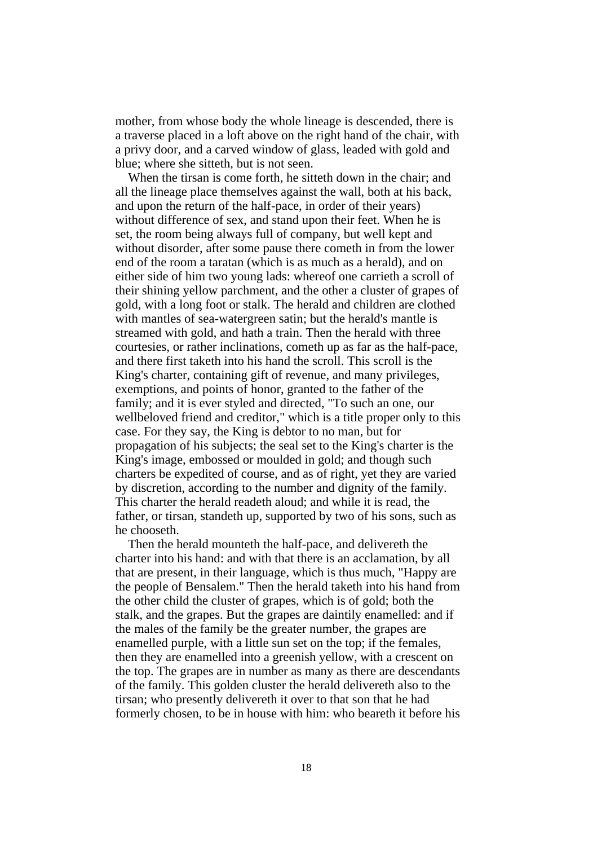mother, from whose body the whole lineage is descended, there is a traverse placed in a loft above on the right hand of the chair, with a privy door, and a carved window of glass, leaded with gold and blue; where she sitteth, but is not seen.

When the tirsan is come forth, he sitteth down in the chair; and all the lineage place themselves against the wall, both at his back, and upon the return of the half-pace, in order of their years) without difference of sex, and stand upon their feet. When he is set, the room being always full of company, but well kept and without disorder, after some pause there cometh in from the lower end of the room a taratan (which is as much as a herald), and on either side of him two young lads: whereof one carrieth a scroll of their shining yellow parchment, and the other a cluster of grapes of gold, with a long foot or stalk. The herald and children are clothed with mantles of sea-watergreen satin; but the herald's mantle is streamed with gold, and hath a train. Then the herald with three courtesies, or rather inclinations, cometh up as far as the half-pace, and there first taketh into his hand the scroll. This scroll is the King's charter, containing gift of revenue, and many privileges, exemptions, and points of honor, granted to the father of the family; and it is ever styled and directed, "To such an one, our wellbeloved friend and creditor," which is a title proper only to this case. For they say, the King is debtor to no man, but for propagation of his subjects; the seal set to the King's charter is the King's image, embossed or moulded in gold; and though such charters be expedited of course, and as of right, yet they are varied by discretion, according to the number and dignity of the family. This charter the herald readeth aloud; and while it is read, the father, or tirsan, standeth up, supported by two of his sons, such as he chooseth.

Then the herald mounteth the half-pace, and delivereth the charter into his hand: and with that there is an acclamation, by all that are present, in their language, which is thus much, "Happy are the people of Bensalem." Then the herald taketh into his hand from the other child the cluster of grapes, which is of gold; both the stalk, and the grapes. But the grapes are daintily enamelled: and if the males of the family be the greater number, the grapes are enamelled purple, with a little sun set on the top; if the females, then they are enamelled into a greenish yellow, with a crescent on the top. The grapes are in number as many as there are descendants of the family. This golden cluster the herald delivereth also to the tirsan; who presently delivereth it over to that son that he had formerly chosen, to be in house with him: who beareth it before his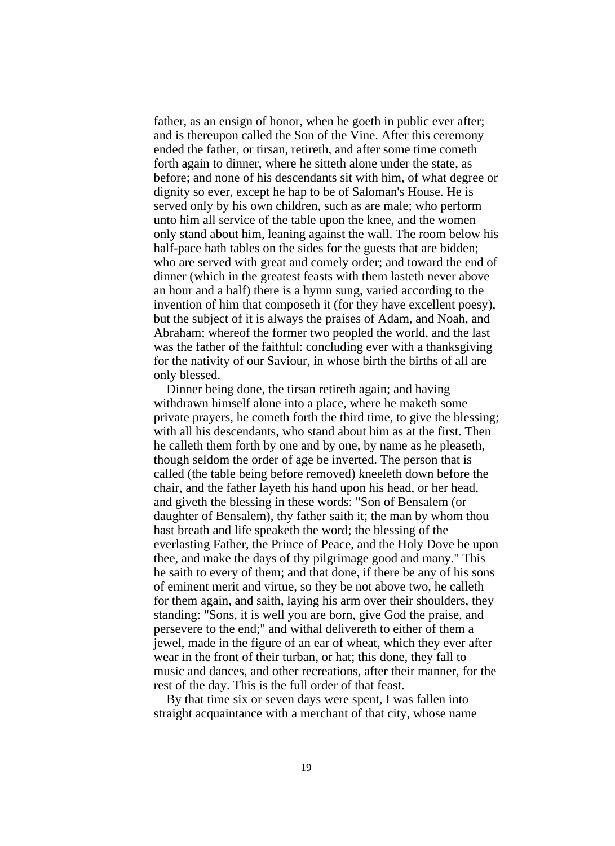father, as an ensign of honor, when he goeth in public ever after; and is thereupon called the Son of the Vine. After this ceremony ended the father, or tirsan, retireth, and after some time cometh forth again to dinner, where he sitteth alone under the state, as before; and none of his descendants sit with him, of what degree or dignity so ever, except he hap to be of Saloman's House. He is served only by his own children, such as are male; who perform unto him all service of the table upon the knee, and the women only stand about him, leaning against the wall. The room below his half-pace hath tables on the sides for the guests that are bidden; who are served with great and comely order; and toward the end of dinner (which in the greatest feasts with them lasteth never above an hour and a half) there is a hymn sung, varied according to the invention of him that composeth it (for they have excellent poesy), but the subject of it is always the praises of Adam, and Noah, and Abraham; whereof the former two peopled the world, and the last was the father of the faithful: concluding ever with a thanksgiving for the nativity of our Saviour, in whose birth the births of all are only blessed.

Dinner being done, the tirsan retireth again; and having withdrawn himself alone into a place, where he maketh some private prayers, he cometh forth the third time, to give the blessing; with all his descendants, who stand about him as at the first. Then he calleth them forth by one and by one, by name as he pleaseth, though seldom the order of age be inverted. The person that is called (the table being before removed) kneeleth down before the chair, and the father layeth his hand upon his head, or her head, and giveth the blessing in these words: "Son of Bensalem (or daughter of Bensalem), thy father saith it; the man by whom thou hast breath and life speaketh the word; the blessing of the everlasting Father, the Prince of Peace, and the Holy Dove be upon thee, and make the days of thy pilgrimage good and many." This he saith to every of them; and that done, if there be any of his sons of eminent merit and virtue, so they be not above two, he calleth for them again, and saith, laying his arm over their shoulders, they standing: "Sons, it is well you are born, give God the praise, and persevere to the end;" and withal delivereth to either of them a jewel, made in the figure of an ear of wheat, which they ever after wear in the front of their turban, or hat; this done, they fall to music and dances, and other recreations, after their manner, for the rest of the day. This is the full order of that feast.

By that time six or seven days were spent, I was fallen into straight acquaintance with a merchant of that city, whose name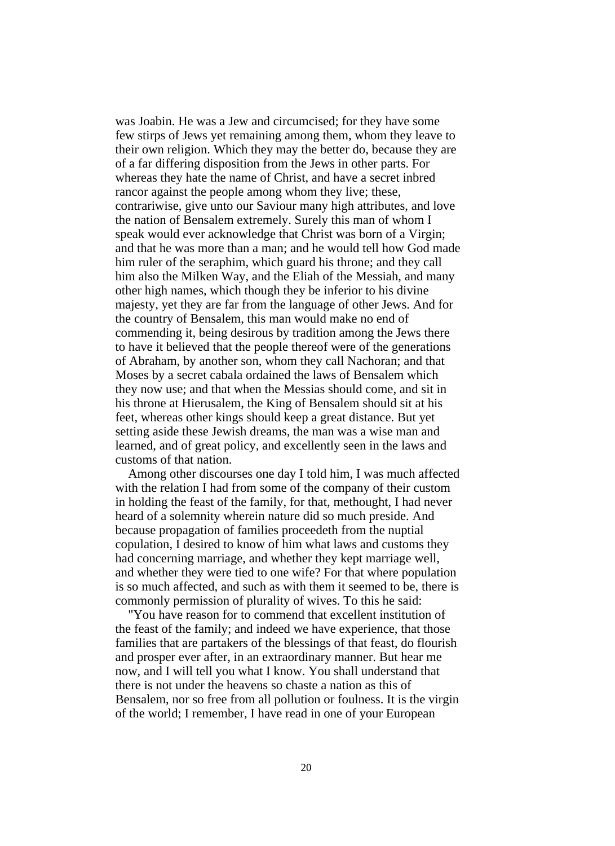was Joabin. He was a Jew and circumcised; for they have some few stirps of Jews yet remaining among them, whom they leave to their own religion. Which they may the better do, because they are of a far differing disposition from the Jews in other parts. For whereas they hate the name of Christ, and have a secret inbred rancor against the people among whom they live; these, contrariwise, give unto our Saviour many high attributes, and love the nation of Bensalem extremely. Surely this man of whom I speak would ever acknowledge that Christ was born of a Virgin; and that he was more than a man; and he would tell how God made him ruler of the seraphim, which guard his throne; and they call him also the Milken Way, and the Eliah of the Messiah, and many other high names, which though they be inferior to his divine majesty, yet they are far from the language of other Jews. And for the country of Bensalem, this man would make no end of commending it, being desirous by tradition among the Jews there to have it believed that the people thereof were of the generations of Abraham, by another son, whom they call Nachoran; and that Moses by a secret cabala ordained the laws of Bensalem which they now use; and that when the Messias should come, and sit in his throne at Hierusalem, the King of Bensalem should sit at his feet, whereas other kings should keep a great distance. But yet setting aside these Jewish dreams, the man was a wise man and learned, and of great policy, and excellently seen in the laws and customs of that nation.

Among other discourses one day I told him, I was much affected with the relation I had from some of the company of their custom in holding the feast of the family, for that, methought, I had never heard of a solemnity wherein nature did so much preside. And because propagation of families proceedeth from the nuptial copulation, I desired to know of him what laws and customs they had concerning marriage, and whether they kept marriage well, and whether they were tied to one wife? For that where population is so much affected, and such as with them it seemed to be, there is commonly permission of plurality of wives. To this he said:

"You have reason for to commend that excellent institution of the feast of the family; and indeed we have experience, that those families that are partakers of the blessings of that feast, do flourish and prosper ever after, in an extraordinary manner. But hear me now, and I will tell you what I know. You shall understand that there is not under the heavens so chaste a nation as this of Bensalem, nor so free from all pollution or foulness. It is the virgin of the world; I remember, I have read in one of your European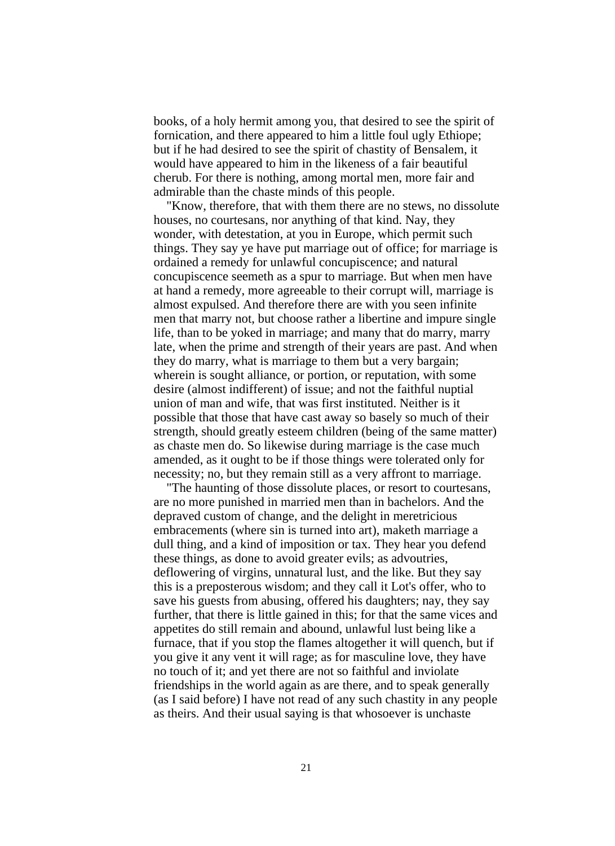books, of a holy hermit among you, that desired to see the spirit of fornication, and there appeared to him a little foul ugly Ethiope; but if he had desired to see the spirit of chastity of Bensalem, it would have appeared to him in the likeness of a fair beautiful cherub. For there is nothing, among mortal men, more fair and admirable than the chaste minds of this people.

"Know, therefore, that with them there are no stews, no dissolute houses, no courtesans, nor anything of that kind. Nay, they wonder, with detestation, at you in Europe, which permit such things. They say ye have put marriage out of office; for marriage is ordained a remedy for unlawful concupiscence; and natural concupiscence seemeth as a spur to marriage. But when men have at hand a remedy, more agreeable to their corrupt will, marriage is almost expulsed. And therefore there are with you seen infinite men that marry not, but choose rather a libertine and impure single life, than to be yoked in marriage; and many that do marry, marry late, when the prime and strength of their years are past. And when they do marry, what is marriage to them but a very bargain; wherein is sought alliance, or portion, or reputation, with some desire (almost indifferent) of issue; and not the faithful nuptial union of man and wife, that was first instituted. Neither is it possible that those that have cast away so basely so much of their strength, should greatly esteem children (being of the same matter) as chaste men do. So likewise during marriage is the case much amended, as it ought to be if those things were tolerated only for necessity; no, but they remain still as a very affront to marriage.

"The haunting of those dissolute places, or resort to courtesans, are no more punished in married men than in bachelors. And the depraved custom of change, and the delight in meretricious embracements (where sin is turned into art), maketh marriage a dull thing, and a kind of imposition or tax. They hear you defend these things, as done to avoid greater evils; as advoutries, deflowering of virgins, unnatural lust, and the like. But they say this is a preposterous wisdom; and they call it Lot's offer, who to save his guests from abusing, offered his daughters; nay, they say further, that there is little gained in this; for that the same vices and appetites do still remain and abound, unlawful lust being like a furnace, that if you stop the flames altogether it will quench, but if you give it any vent it will rage; as for masculine love, they have no touch of it; and yet there are not so faithful and inviolate friendships in the world again as are there, and to speak generally (as I said before) I have not read of any such chastity in any people as theirs. And their usual saying is that whosoever is unchaste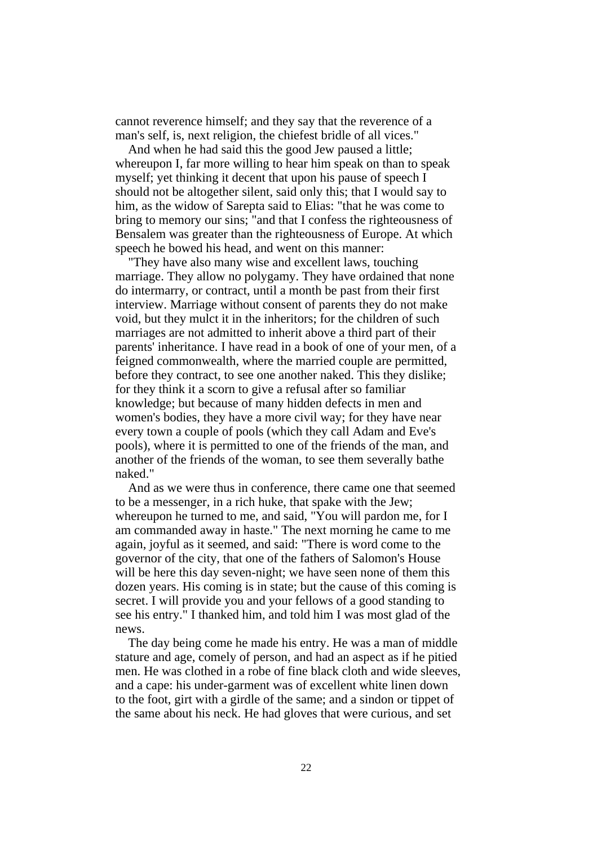cannot reverence himself; and they say that the reverence of a man's self, is, next religion, the chiefest bridle of all vices."

And when he had said this the good Jew paused a little; whereupon I, far more willing to hear him speak on than to speak myself; yet thinking it decent that upon his pause of speech I should not be altogether silent, said only this; that I would say to him, as the widow of Sarepta said to Elias: "that he was come to bring to memory our sins; "and that I confess the righteousness of Bensalem was greater than the righteousness of Europe. At which speech he bowed his head, and went on this manner:

"They have also many wise and excellent laws, touching marriage. They allow no polygamy. They have ordained that none do intermarry, or contract, until a month be past from their first interview. Marriage without consent of parents they do not make void, but they mulct it in the inheritors; for the children of such marriages are not admitted to inherit above a third part of their parents' inheritance. I have read in a book of one of your men, of a feigned commonwealth, where the married couple are permitted, before they contract, to see one another naked. This they dislike; for they think it a scorn to give a refusal after so familiar knowledge; but because of many hidden defects in men and women's bodies, they have a more civil way; for they have near every town a couple of pools (which they call Adam and Eve's pools), where it is permitted to one of the friends of the man, and another of the friends of the woman, to see them severally bathe naked."

And as we were thus in conference, there came one that seemed to be a messenger, in a rich huke, that spake with the Jew; whereupon he turned to me, and said, "You will pardon me, for I am commanded away in haste." The next morning he came to me again, joyful as it seemed, and said: "There is word come to the governor of the city, that one of the fathers of Salomon's House will be here this day seven-night; we have seen none of them this dozen years. His coming is in state; but the cause of this coming is secret. I will provide you and your fellows of a good standing to see his entry." I thanked him, and told him I was most glad of the news.

The day being come he made his entry. He was a man of middle stature and age, comely of person, and had an aspect as if he pitied men. He was clothed in a robe of fine black cloth and wide sleeves, and a cape: his under-garment was of excellent white linen down to the foot, girt with a girdle of the same; and a sindon or tippet of the same about his neck. He had gloves that were curious, and set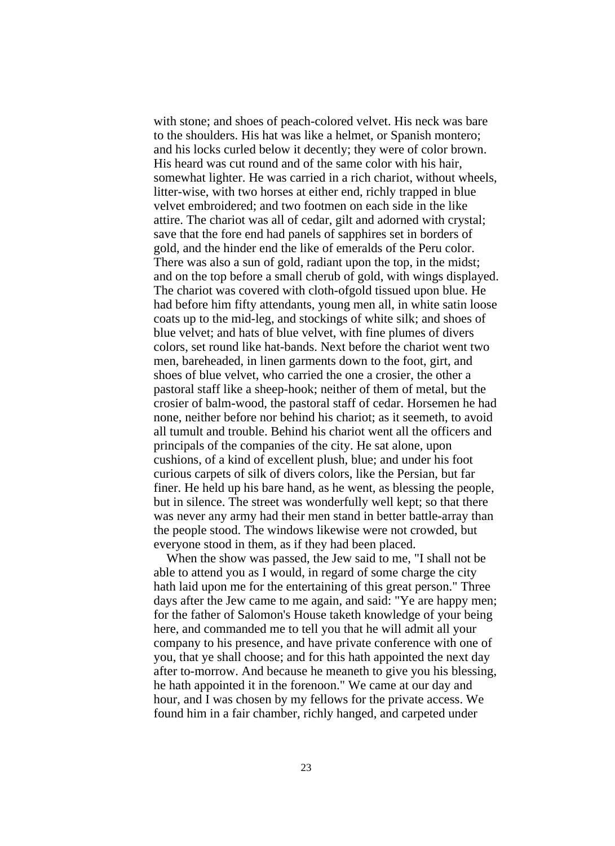with stone; and shoes of peach-colored velvet. His neck was bare to the shoulders. His hat was like a helmet, or Spanish montero; and his locks curled below it decently; they were of color brown. His heard was cut round and of the same color with his hair, somewhat lighter. He was carried in a rich chariot, without wheels, litter-wise, with two horses at either end, richly trapped in blue velvet embroidered; and two footmen on each side in the like attire. The chariot was all of cedar, gilt and adorned with crystal; save that the fore end had panels of sapphires set in borders of gold, and the hinder end the like of emeralds of the Peru color. There was also a sun of gold, radiant upon the top, in the midst; and on the top before a small cherub of gold, with wings displayed. The chariot was covered with cloth-ofgold tissued upon blue. He had before him fifty attendants, young men all, in white satin loose coats up to the mid-leg, and stockings of white silk; and shoes of blue velvet; and hats of blue velvet, with fine plumes of divers colors, set round like hat-bands. Next before the chariot went two men, bareheaded, in linen garments down to the foot, girt, and shoes of blue velvet, who carried the one a crosier, the other a pastoral staff like a sheep-hook; neither of them of metal, but the crosier of balm-wood, the pastoral staff of cedar. Horsemen he had none, neither before nor behind his chariot; as it seemeth, to avoid all tumult and trouble. Behind his chariot went all the officers and principals of the companies of the city. He sat alone, upon cushions, of a kind of excellent plush, blue; and under his foot curious carpets of silk of divers colors, like the Persian, but far finer. He held up his bare hand, as he went, as blessing the people, but in silence. The street was wonderfully well kept; so that there was never any army had their men stand in better battle-array than the people stood. The windows likewise were not crowded, but everyone stood in them, as if they had been placed.

When the show was passed, the Jew said to me, "I shall not be able to attend you as I would, in regard of some charge the city hath laid upon me for the entertaining of this great person." Three days after the Jew came to me again, and said: "Ye are happy men; for the father of Salomon's House taketh knowledge of your being here, and commanded me to tell you that he will admit all your company to his presence, and have private conference with one of you, that ye shall choose; and for this hath appointed the next day after to-morrow. And because he meaneth to give you his blessing, he hath appointed it in the forenoon." We came at our day and hour, and I was chosen by my fellows for the private access. We found him in a fair chamber, richly hanged, and carpeted under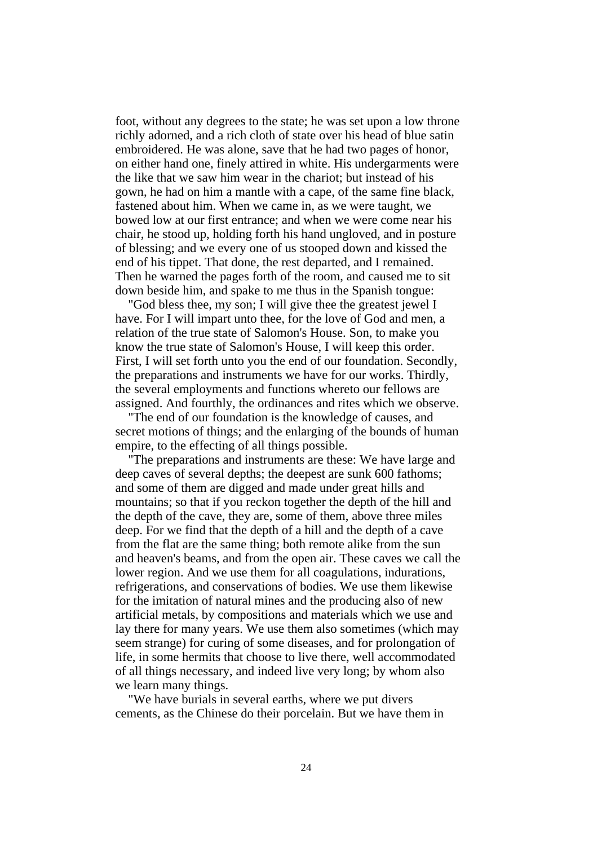foot, without any degrees to the state; he was set upon a low throne richly adorned, and a rich cloth of state over his head of blue satin embroidered. He was alone, save that he had two pages of honor, on either hand one, finely attired in white. His undergarments were the like that we saw him wear in the chariot; but instead of his gown, he had on him a mantle with a cape, of the same fine black, fastened about him. When we came in, as we were taught, we bowed low at our first entrance; and when we were come near his chair, he stood up, holding forth his hand ungloved, and in posture of blessing; and we every one of us stooped down and kissed the end of his tippet. That done, the rest departed, and I remained. Then he warned the pages forth of the room, and caused me to sit down beside him, and spake to me thus in the Spanish tongue:

"God bless thee, my son; I will give thee the greatest jewel I have. For I will impart unto thee, for the love of God and men, a relation of the true state of Salomon's House. Son, to make you know the true state of Salomon's House, I will keep this order. First, I will set forth unto you the end of our foundation. Secondly, the preparations and instruments we have for our works. Thirdly, the several employments and functions whereto our fellows are assigned. And fourthly, the ordinances and rites which we observe.

"The end of our foundation is the knowledge of causes, and secret motions of things; and the enlarging of the bounds of human empire, to the effecting of all things possible.

"The preparations and instruments are these: We have large and deep caves of several depths; the deepest are sunk 600 fathoms; and some of them are digged and made under great hills and mountains; so that if you reckon together the depth of the hill and the depth of the cave, they are, some of them, above three miles deep. For we find that the depth of a hill and the depth of a cave from the flat are the same thing; both remote alike from the sun and heaven's beams, and from the open air. These caves we call the lower region. And we use them for all coagulations, indurations, refrigerations, and conservations of bodies. We use them likewise for the imitation of natural mines and the producing also of new artificial metals, by compositions and materials which we use and lay there for many years. We use them also sometimes (which may seem strange) for curing of some diseases, and for prolongation of life, in some hermits that choose to live there, well accommodated of all things necessary, and indeed live very long; by whom also we learn many things.

"We have burials in several earths, where we put divers cements, as the Chinese do their porcelain. But we have them in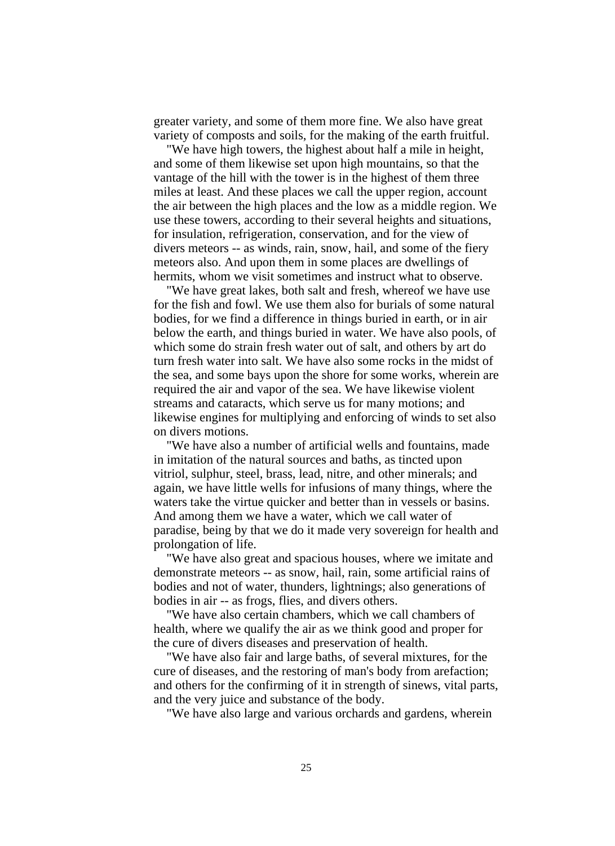greater variety, and some of them more fine. We also have great variety of composts and soils, for the making of the earth fruitful.

"We have high towers, the highest about half a mile in height, and some of them likewise set upon high mountains, so that the vantage of the hill with the tower is in the highest of them three miles at least. And these places we call the upper region, account the air between the high places and the low as a middle region. We use these towers, according to their several heights and situations, for insulation, refrigeration, conservation, and for the view of divers meteors -- as winds, rain, snow, hail, and some of the fiery meteors also. And upon them in some places are dwellings of hermits, whom we visit sometimes and instruct what to observe.

"We have great lakes, both salt and fresh, whereof we have use for the fish and fowl. We use them also for burials of some natural bodies, for we find a difference in things buried in earth, or in air below the earth, and things buried in water. We have also pools, of which some do strain fresh water out of salt, and others by art do turn fresh water into salt. We have also some rocks in the midst of the sea, and some bays upon the shore for some works, wherein are required the air and vapor of the sea. We have likewise violent streams and cataracts, which serve us for many motions; and likewise engines for multiplying and enforcing of winds to set also on divers motions.

"We have also a number of artificial wells and fountains, made in imitation of the natural sources and baths, as tincted upon vitriol, sulphur, steel, brass, lead, nitre, and other minerals; and again, we have little wells for infusions of many things, where the waters take the virtue quicker and better than in vessels or basins. And among them we have a water, which we call water of paradise, being by that we do it made very sovereign for health and prolongation of life.

"We have also great and spacious houses, where we imitate and demonstrate meteors -- as snow, hail, rain, some artificial rains of bodies and not of water, thunders, lightnings; also generations of bodies in air -- as frogs, flies, and divers others.

"We have also certain chambers, which we call chambers of health, where we qualify the air as we think good and proper for the cure of divers diseases and preservation of health.

"We have also fair and large baths, of several mixtures, for the cure of diseases, and the restoring of man's body from arefaction; and others for the confirming of it in strength of sinews, vital parts, and the very juice and substance of the body.

"We have also large and various orchards and gardens, wherein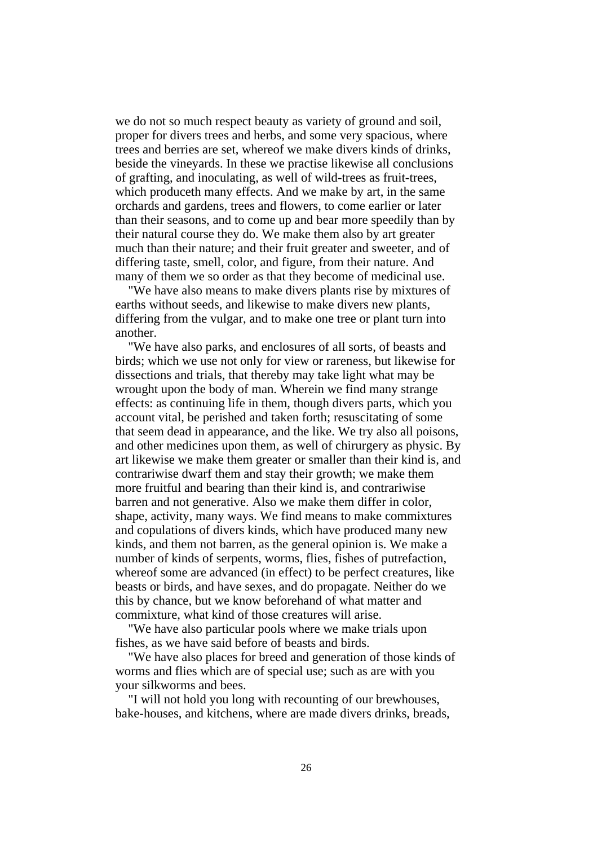we do not so much respect beauty as variety of ground and soil, proper for divers trees and herbs, and some very spacious, where trees and berries are set, whereof we make divers kinds of drinks, beside the vineyards. In these we practise likewise all conclusions of grafting, and inoculating, as well of wild-trees as fruit-trees, which produceth many effects. And we make by art, in the same orchards and gardens, trees and flowers, to come earlier or later than their seasons, and to come up and bear more speedily than by their natural course they do. We make them also by art greater much than their nature; and their fruit greater and sweeter, and of differing taste, smell, color, and figure, from their nature. And many of them we so order as that they become of medicinal use.

"We have also means to make divers plants rise by mixtures of earths without seeds, and likewise to make divers new plants, differing from the vulgar, and to make one tree or plant turn into another.

"We have also parks, and enclosures of all sorts, of beasts and birds; which we use not only for view or rareness, but likewise for dissections and trials, that thereby may take light what may be wrought upon the body of man. Wherein we find many strange effects: as continuing life in them, though divers parts, which you account vital, be perished and taken forth; resuscitating of some that seem dead in appearance, and the like. We try also all poisons, and other medicines upon them, as well of chirurgery as physic. By art likewise we make them greater or smaller than their kind is, and contrariwise dwarf them and stay their growth; we make them more fruitful and bearing than their kind is, and contrariwise barren and not generative. Also we make them differ in color, shape, activity, many ways. We find means to make commixtures and copulations of divers kinds, which have produced many new kinds, and them not barren, as the general opinion is. We make a number of kinds of serpents, worms, flies, fishes of putrefaction, whereof some are advanced (in effect) to be perfect creatures, like beasts or birds, and have sexes, and do propagate. Neither do we this by chance, but we know beforehand of what matter and commixture, what kind of those creatures will arise.

"We have also particular pools where we make trials upon fishes, as we have said before of beasts and birds.

"We have also places for breed and generation of those kinds of worms and flies which are of special use; such as are with you your silkworms and bees.

"I will not hold you long with recounting of our brewhouses, bake-houses, and kitchens, where are made divers drinks, breads,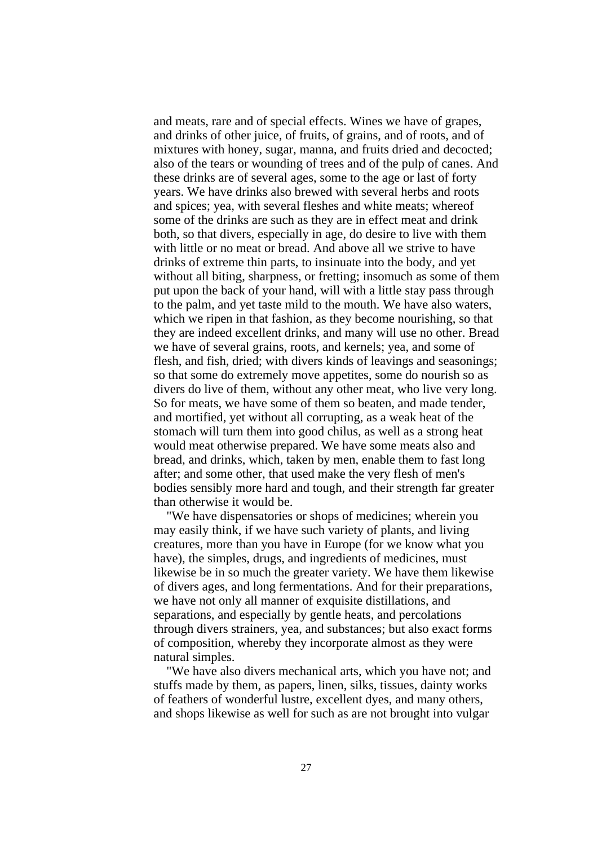and meats, rare and of special effects. Wines we have of grapes, and drinks of other juice, of fruits, of grains, and of roots, and of mixtures with honey, sugar, manna, and fruits dried and decocted; also of the tears or wounding of trees and of the pulp of canes. And these drinks are of several ages, some to the age or last of forty years. We have drinks also brewed with several herbs and roots and spices; yea, with several fleshes and white meats; whereof some of the drinks are such as they are in effect meat and drink both, so that divers, especially in age, do desire to live with them with little or no meat or bread. And above all we strive to have drinks of extreme thin parts, to insinuate into the body, and yet without all biting, sharpness, or fretting; insomuch as some of them put upon the back of your hand, will with a little stay pass through to the palm, and yet taste mild to the mouth. We have also waters, which we ripen in that fashion, as they become nourishing, so that they are indeed excellent drinks, and many will use no other. Bread we have of several grains, roots, and kernels; yea, and some of flesh, and fish, dried; with divers kinds of leavings and seasonings; so that some do extremely move appetites, some do nourish so as divers do live of them, without any other meat, who live very long. So for meats, we have some of them so beaten, and made tender, and mortified, yet without all corrupting, as a weak heat of the stomach will turn them into good chilus, as well as a strong heat would meat otherwise prepared. We have some meats also and bread, and drinks, which, taken by men, enable them to fast long after; and some other, that used make the very flesh of men's bodies sensibly more hard and tough, and their strength far greater than otherwise it would be.

"We have dispensatories or shops of medicines; wherein you may easily think, if we have such variety of plants, and living creatures, more than you have in Europe (for we know what you have), the simples, drugs, and ingredients of medicines, must likewise be in so much the greater variety. We have them likewise of divers ages, and long fermentations. And for their preparations, we have not only all manner of exquisite distillations, and separations, and especially by gentle heats, and percolations through divers strainers, yea, and substances; but also exact forms of composition, whereby they incorporate almost as they were natural simples.

"We have also divers mechanical arts, which you have not; and stuffs made by them, as papers, linen, silks, tissues, dainty works of feathers of wonderful lustre, excellent dyes, and many others, and shops likewise as well for such as are not brought into vulgar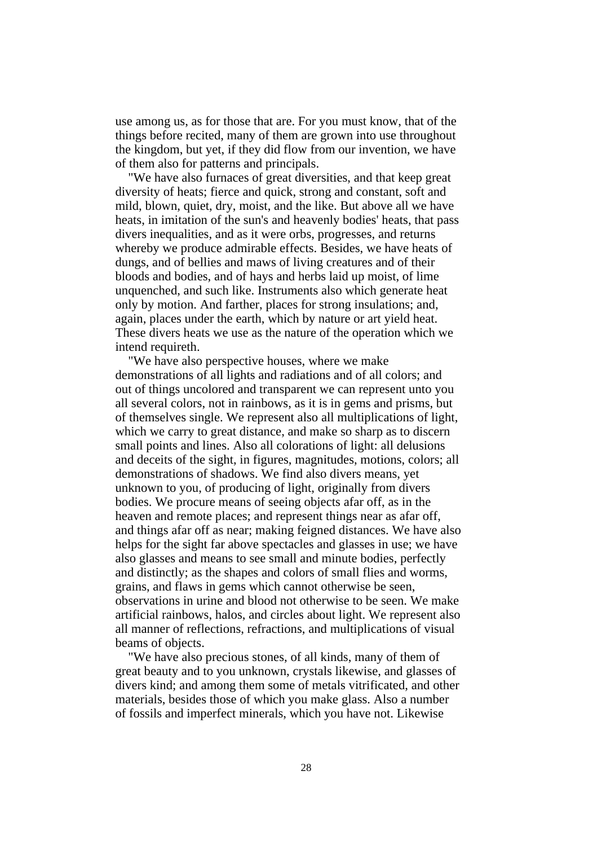use among us, as for those that are. For you must know, that of the things before recited, many of them are grown into use throughout the kingdom, but yet, if they did flow from our invention, we have of them also for patterns and principals.

"We have also furnaces of great diversities, and that keep great diversity of heats; fierce and quick, strong and constant, soft and mild, blown, quiet, dry, moist, and the like. But above all we have heats, in imitation of the sun's and heavenly bodies' heats, that pass divers inequalities, and as it were orbs, progresses, and returns whereby we produce admirable effects. Besides, we have heats of dungs, and of bellies and maws of living creatures and of their bloods and bodies, and of hays and herbs laid up moist, of lime unquenched, and such like. Instruments also which generate heat only by motion. And farther, places for strong insulations; and, again, places under the earth, which by nature or art yield heat. These divers heats we use as the nature of the operation which we intend requireth.

"We have also perspective houses, where we make demonstrations of all lights and radiations and of all colors; and out of things uncolored and transparent we can represent unto you all several colors, not in rainbows, as it is in gems and prisms, but of themselves single. We represent also all multiplications of light, which we carry to great distance, and make so sharp as to discern small points and lines. Also all colorations of light: all delusions and deceits of the sight, in figures, magnitudes, motions, colors; all demonstrations of shadows. We find also divers means, yet unknown to you, of producing of light, originally from divers bodies. We procure means of seeing objects afar off, as in the heaven and remote places; and represent things near as afar off, and things afar off as near; making feigned distances. We have also helps for the sight far above spectacles and glasses in use; we have also glasses and means to see small and minute bodies, perfectly and distinctly; as the shapes and colors of small flies and worms, grains, and flaws in gems which cannot otherwise be seen, observations in urine and blood not otherwise to be seen. We make artificial rainbows, halos, and circles about light. We represent also all manner of reflections, refractions, and multiplications of visual beams of objects.

"We have also precious stones, of all kinds, many of them of great beauty and to you unknown, crystals likewise, and glasses of divers kind; and among them some of metals vitrificated, and other materials, besides those of which you make glass. Also a number of fossils and imperfect minerals, which you have not. Likewise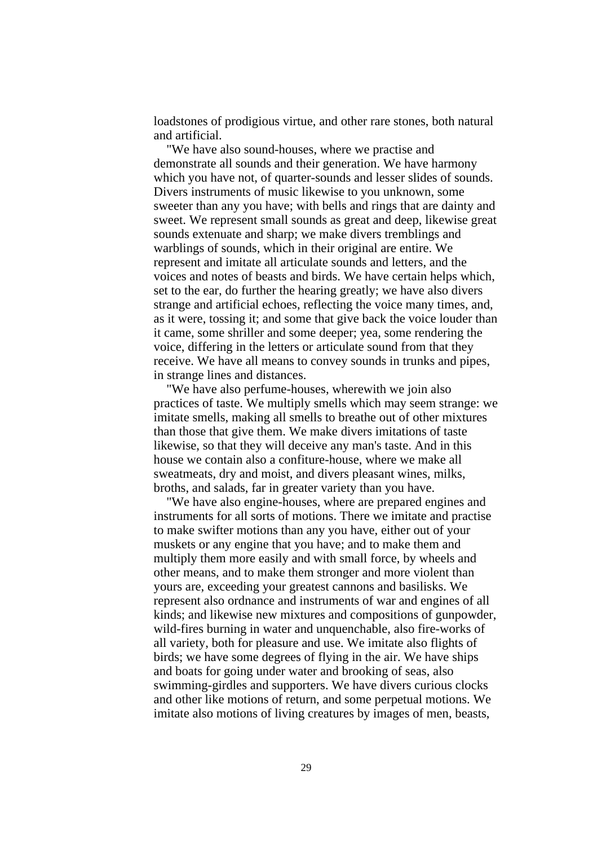loadstones of prodigious virtue, and other rare stones, both natural and artificial.

"We have also sound-houses, where we practise and demonstrate all sounds and their generation. We have harmony which you have not, of quarter-sounds and lesser slides of sounds. Divers instruments of music likewise to you unknown, some sweeter than any you have; with bells and rings that are dainty and sweet. We represent small sounds as great and deep, likewise great sounds extenuate and sharp; we make divers tremblings and warblings of sounds, which in their original are entire. We represent and imitate all articulate sounds and letters, and the voices and notes of beasts and birds. We have certain helps which, set to the ear, do further the hearing greatly; we have also divers strange and artificial echoes, reflecting the voice many times, and, as it were, tossing it; and some that give back the voice louder than it came, some shriller and some deeper; yea, some rendering the voice, differing in the letters or articulate sound from that they receive. We have all means to convey sounds in trunks and pipes, in strange lines and distances.

"We have also perfume-houses, wherewith we join also practices of taste. We multiply smells which may seem strange: we imitate smells, making all smells to breathe out of other mixtures than those that give them. We make divers imitations of taste likewise, so that they will deceive any man's taste. And in this house we contain also a confiture-house, where we make all sweatmeats, dry and moist, and divers pleasant wines, milks, broths, and salads, far in greater variety than you have.

"We have also engine-houses, where are prepared engines and instruments for all sorts of motions. There we imitate and practise to make swifter motions than any you have, either out of your muskets or any engine that you have; and to make them and multiply them more easily and with small force, by wheels and other means, and to make them stronger and more violent than yours are, exceeding your greatest cannons and basilisks. We represent also ordnance and instruments of war and engines of all kinds; and likewise new mixtures and compositions of gunpowder, wild-fires burning in water and unquenchable, also fire-works of all variety, both for pleasure and use. We imitate also flights of birds; we have some degrees of flying in the air. We have ships and boats for going under water and brooking of seas, also swimming-girdles and supporters. We have divers curious clocks and other like motions of return, and some perpetual motions. We imitate also motions of living creatures by images of men, beasts,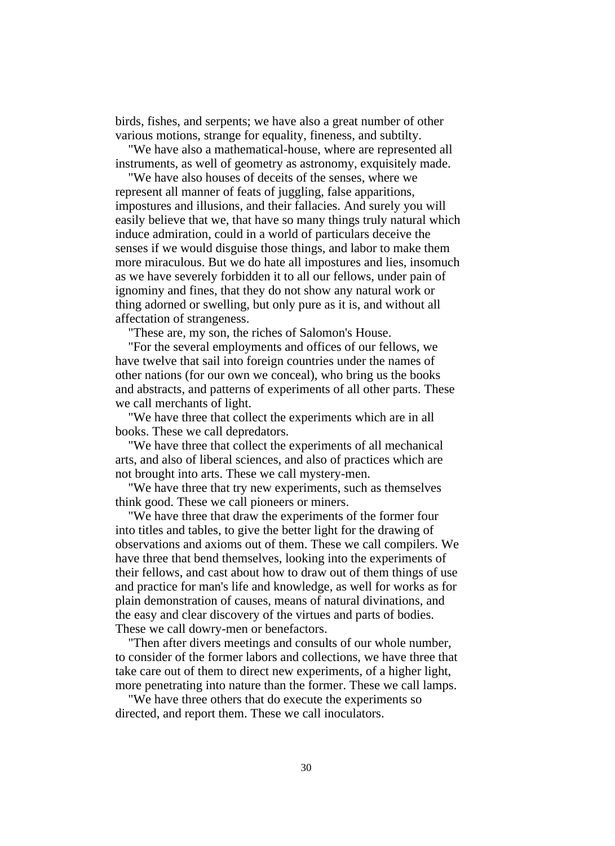birds, fishes, and serpents; we have also a great number of other various motions, strange for equality, fineness, and subtilty.

"We have also a mathematical-house, where are represented all instruments, as well of geometry as astronomy, exquisitely made.

"We have also houses of deceits of the senses, where we represent all manner of feats of juggling, false apparitions, impostures and illusions, and their fallacies. And surely you will easily believe that we, that have so many things truly natural which induce admiration, could in a world of particulars deceive the senses if we would disguise those things, and labor to make them more miraculous. But we do hate all impostures and lies, insomuch as we have severely forbidden it to all our fellows, under pain of ignominy and fines, that they do not show any natural work or thing adorned or swelling, but only pure as it is, and without all affectation of strangeness.

"These are, my son, the riches of Salomon's House.

"For the several employments and offices of our fellows, we have twelve that sail into foreign countries under the names of other nations (for our own we conceal), who bring us the books and abstracts, and patterns of experiments of all other parts. These we call merchants of light.

"We have three that collect the experiments which are in all books. These we call depredators.

"We have three that collect the experiments of all mechanical arts, and also of liberal sciences, and also of practices which are not brought into arts. These we call mystery-men.

"We have three that try new experiments, such as themselves think good. These we call pioneers or miners.

"We have three that draw the experiments of the former four into titles and tables, to give the better light for the drawing of observations and axioms out of them. These we call compilers. We have three that bend themselves, looking into the experiments of their fellows, and cast about how to draw out of them things of use and practice for man's life and knowledge, as well for works as for plain demonstration of causes, means of natural divinations, and the easy and clear discovery of the virtues and parts of bodies. These we call dowry-men or benefactors.

"Then after divers meetings and consults of our whole number, to consider of the former labors and collections, we have three that take care out of them to direct new experiments, of a higher light, more penetrating into nature than the former. These we call lamps.

"We have three others that do execute the experiments so directed, and report them. These we call inoculators.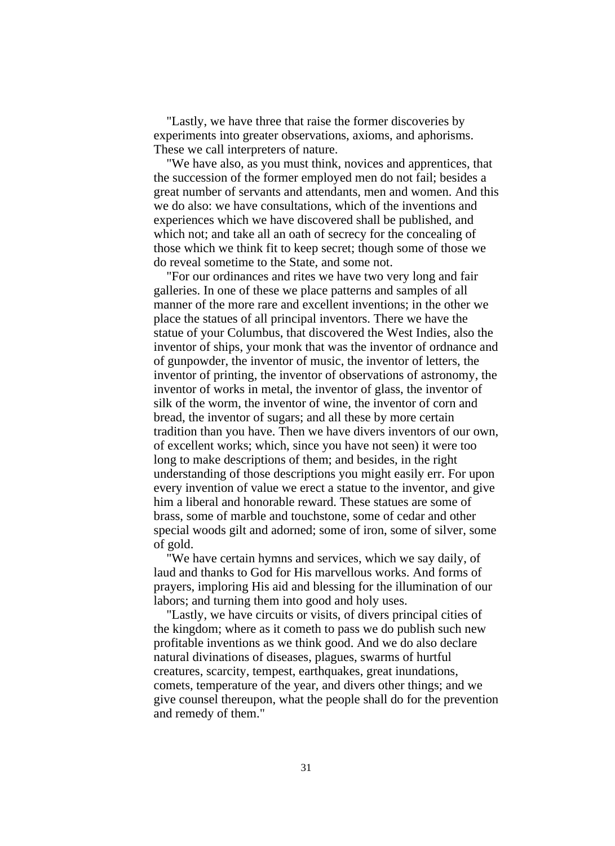"Lastly, we have three that raise the former discoveries by experiments into greater observations, axioms, and aphorisms. These we call interpreters of nature.

"We have also, as you must think, novices and apprentices, that the succession of the former employed men do not fail; besides a great number of servants and attendants, men and women. And this we do also: we have consultations, which of the inventions and experiences which we have discovered shall be published, and which not; and take all an oath of secrecy for the concealing of those which we think fit to keep secret; though some of those we do reveal sometime to the State, and some not.

"For our ordinances and rites we have two very long and fair galleries. In one of these we place patterns and samples of all manner of the more rare and excellent inventions; in the other we place the statues of all principal inventors. There we have the statue of your Columbus, that discovered the West Indies, also the inventor of ships, your monk that was the inventor of ordnance and of gunpowder, the inventor of music, the inventor of letters, the inventor of printing, the inventor of observations of astronomy, the inventor of works in metal, the inventor of glass, the inventor of silk of the worm, the inventor of wine, the inventor of corn and bread, the inventor of sugars; and all these by more certain tradition than you have. Then we have divers inventors of our own, of excellent works; which, since you have not seen) it were too long to make descriptions of them; and besides, in the right understanding of those descriptions you might easily err. For upon every invention of value we erect a statue to the inventor, and give him a liberal and honorable reward. These statues are some of brass, some of marble and touchstone, some of cedar and other special woods gilt and adorned; some of iron, some of silver, some of gold.

"We have certain hymns and services, which we say daily, of laud and thanks to God for His marvellous works. And forms of prayers, imploring His aid and blessing for the illumination of our labors; and turning them into good and holy uses.

"Lastly, we have circuits or visits, of divers principal cities of the kingdom; where as it cometh to pass we do publish such new profitable inventions as we think good. And we do also declare natural divinations of diseases, plagues, swarms of hurtful creatures, scarcity, tempest, earthquakes, great inundations, comets, temperature of the year, and divers other things; and we give counsel thereupon, what the people shall do for the prevention and remedy of them."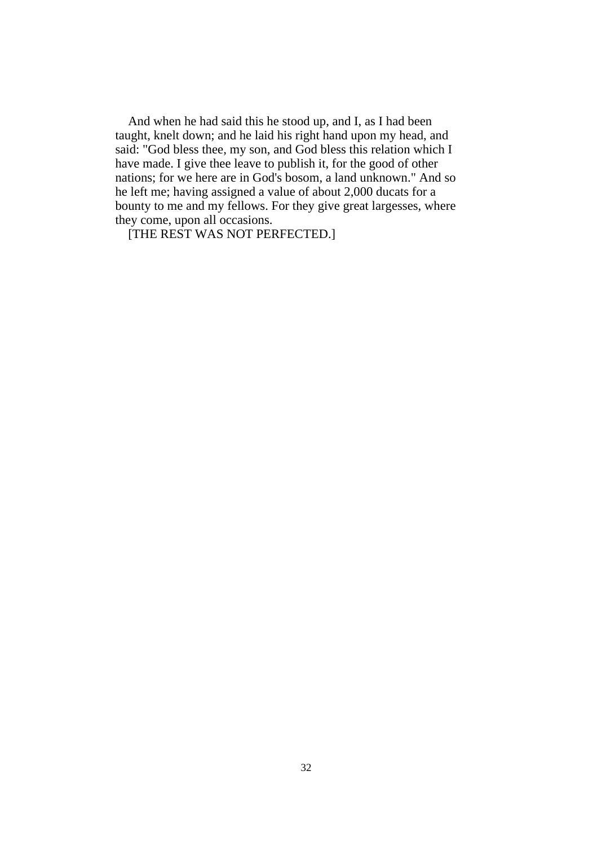And when he had said this he stood up, and I, as I had been taught, knelt down; and he laid his right hand upon my head, and said: "God bless thee, my son, and God bless this relation which I have made. I give thee leave to publish it, for the good of other nations; for we here are in God's bosom, a land unknown." And so he left me; having assigned a value of about 2,000 ducats for a bounty to me and my fellows. For they give great largesses, where they come, upon all occasions.

[THE REST WAS NOT PERFECTED.]